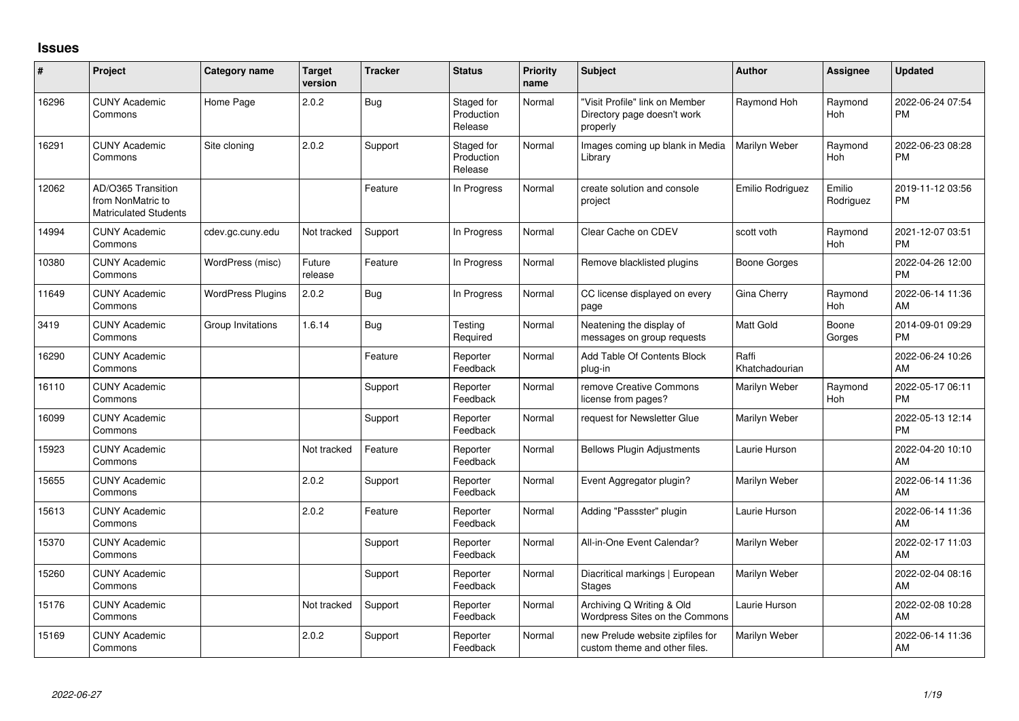## **Issues**

| ∦     | Project                                                                 | <b>Category name</b>     | <b>Target</b><br>version | <b>Tracker</b> | <b>Status</b>                       | <b>Priority</b><br>name | Subject                                                                   | <b>Author</b>           | <b>Assignee</b>       | <b>Updated</b>                |
|-------|-------------------------------------------------------------------------|--------------------------|--------------------------|----------------|-------------------------------------|-------------------------|---------------------------------------------------------------------------|-------------------------|-----------------------|-------------------------------|
| 16296 | <b>CUNY Academic</b><br>Commons                                         | Home Page                | 2.0.2                    | Bug            | Staged for<br>Production<br>Release | Normal                  | "Visit Profile" link on Member<br>Directory page doesn't work<br>properly | Raymond Hoh             | Raymond<br>Hoh        | 2022-06-24 07:54<br><b>PM</b> |
| 16291 | <b>CUNY Academic</b><br>Commons                                         | Site cloning             | 2.0.2                    | Support        | Staged for<br>Production<br>Release | Normal                  | Images coming up blank in Media<br>Library                                | Marilyn Weber           | Raymond<br>Hoh        | 2022-06-23 08:28<br><b>PM</b> |
| 12062 | AD/O365 Transition<br>from NonMatric to<br><b>Matriculated Students</b> |                          |                          | Feature        | In Progress                         | Normal                  | create solution and console<br>project                                    | Emilio Rodriguez        | Emilio<br>Rodriguez   | 2019-11-12 03:56<br><b>PM</b> |
| 14994 | <b>CUNY Academic</b><br>Commons                                         | cdev.gc.cuny.edu         | Not tracked              | Support        | In Progress                         | Normal                  | Clear Cache on CDEV                                                       | scott voth              | Raymond<br>Hoh        | 2021-12-07 03:51<br><b>PM</b> |
| 10380 | <b>CUNY Academic</b><br>Commons                                         | WordPress (misc)         | Future<br>release        | Feature        | In Progress                         | Normal                  | Remove blacklisted plugins                                                | Boone Gorges            |                       | 2022-04-26 12:00<br><b>PM</b> |
| 11649 | <b>CUNY Academic</b><br>Commons                                         | <b>WordPress Plugins</b> | 2.0.2                    | <b>Bug</b>     | In Progress                         | Normal                  | CC license displayed on every<br>page                                     | Gina Cherry             | Raymond<br>Hoh        | 2022-06-14 11:36<br>AM        |
| 3419  | <b>CUNY Academic</b><br>Commons                                         | Group Invitations        | 1.6.14                   | Bug            | Testing<br>Required                 | Normal                  | Neatening the display of<br>messages on group requests                    | <b>Matt Gold</b>        | Boone<br>Gorges       | 2014-09-01 09:29<br><b>PM</b> |
| 16290 | <b>CUNY Academic</b><br>Commons                                         |                          |                          | Feature        | Reporter<br>Feedback                | Normal                  | Add Table Of Contents Block<br>plug-in                                    | Raffi<br>Khatchadourian |                       | 2022-06-24 10:26<br>AM        |
| 16110 | <b>CUNY Academic</b><br>Commons                                         |                          |                          | Support        | Reporter<br>Feedback                | Normal                  | remove Creative Commons<br>license from pages?                            | Marilyn Weber           | Raymond<br><b>Hoh</b> | 2022-05-17 06:11<br><b>PM</b> |
| 16099 | <b>CUNY Academic</b><br>Commons                                         |                          |                          | Support        | Reporter<br>Feedback                | Normal                  | request for Newsletter Glue                                               | Marilyn Weber           |                       | 2022-05-13 12:14<br><b>PM</b> |
| 15923 | <b>CUNY Academic</b><br>Commons                                         |                          | Not tracked              | Feature        | Reporter<br>Feedback                | Normal                  | <b>Bellows Plugin Adjustments</b>                                         | Laurie Hurson           |                       | 2022-04-20 10:10<br>AM        |
| 15655 | <b>CUNY Academic</b><br>Commons                                         |                          | 2.0.2                    | Support        | Reporter<br>Feedback                | Normal                  | Event Aggregator plugin?                                                  | Marilyn Weber           |                       | 2022-06-14 11:36<br>AM        |
| 15613 | <b>CUNY Academic</b><br>Commons                                         |                          | 2.0.2                    | Feature        | Reporter<br>Feedback                | Normal                  | Adding "Passster" plugin                                                  | Laurie Hurson           |                       | 2022-06-14 11:36<br>AM        |
| 15370 | <b>CUNY Academic</b><br>Commons                                         |                          |                          | Support        | Reporter<br>Feedback                | Normal                  | All-in-One Event Calendar?                                                | Marilyn Weber           |                       | 2022-02-17 11:03<br>AM        |
| 15260 | <b>CUNY Academic</b><br>Commons                                         |                          |                          | Support        | Reporter<br>Feedback                | Normal                  | Diacritical markings   European<br><b>Stages</b>                          | Marilyn Weber           |                       | 2022-02-04 08:16<br>AM        |
| 15176 | <b>CUNY Academic</b><br>Commons                                         |                          | Not tracked              | Support        | Reporter<br>Feedback                | Normal                  | Archiving Q Writing & Old<br>Wordpress Sites on the Commons               | Laurie Hurson           |                       | 2022-02-08 10:28<br>AM        |
| 15169 | <b>CUNY Academic</b><br>Commons                                         |                          | 2.0.2                    | Support        | Reporter<br>Feedback                | Normal                  | new Prelude website zipfiles for<br>custom theme and other files.         | Marilyn Weber           |                       | 2022-06-14 11:36<br>AM        |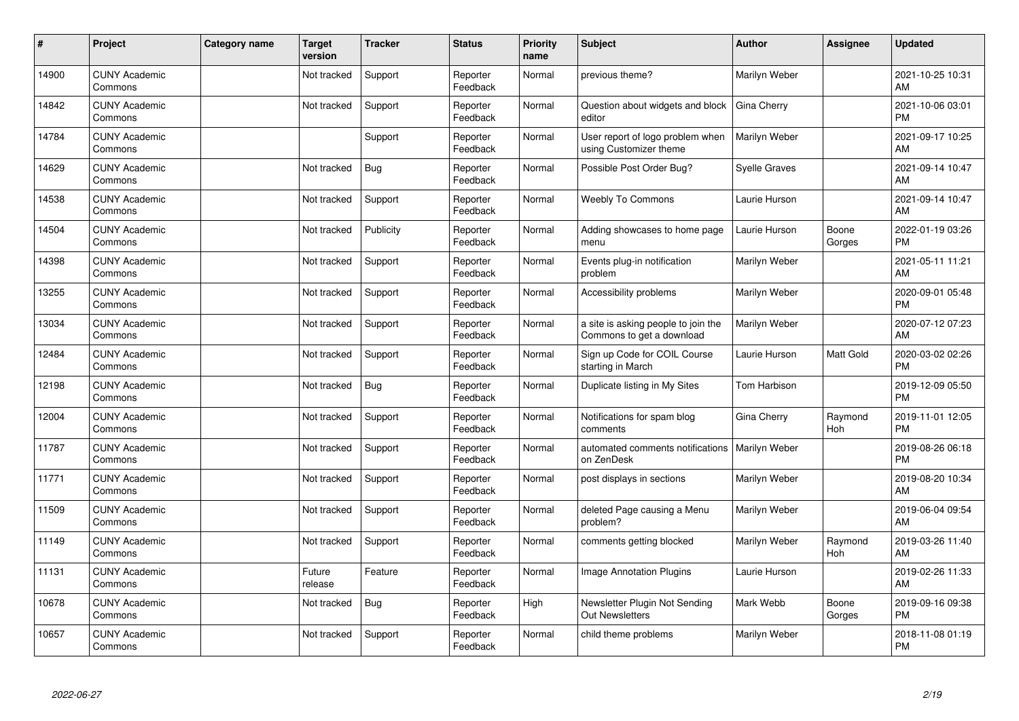| #     | Project                         | <b>Category name</b> | <b>Target</b><br>version | <b>Tracker</b> | <b>Status</b>        | <b>Priority</b><br>name | <b>Subject</b>                                                   | <b>Author</b>        | <b>Assignee</b> | <b>Updated</b>                |
|-------|---------------------------------|----------------------|--------------------------|----------------|----------------------|-------------------------|------------------------------------------------------------------|----------------------|-----------------|-------------------------------|
| 14900 | <b>CUNY Academic</b><br>Commons |                      | Not tracked              | Support        | Reporter<br>Feedback | Normal                  | previous theme?                                                  | Marilyn Weber        |                 | 2021-10-25 10:31<br>AM        |
| 14842 | <b>CUNY Academic</b><br>Commons |                      | Not tracked              | Support        | Reporter<br>Feedback | Normal                  | Question about widgets and block<br>editor                       | Gina Cherry          |                 | 2021-10-06 03:01<br><b>PM</b> |
| 14784 | <b>CUNY Academic</b><br>Commons |                      |                          | Support        | Reporter<br>Feedback | Normal                  | User report of logo problem when<br>using Customizer theme       | Marilyn Weber        |                 | 2021-09-17 10:25<br>AM        |
| 14629 | <b>CUNY Academic</b><br>Commons |                      | Not tracked              | Bug            | Reporter<br>Feedback | Normal                  | Possible Post Order Bug?                                         | <b>Syelle Graves</b> |                 | 2021-09-14 10:47<br>AM        |
| 14538 | <b>CUNY Academic</b><br>Commons |                      | Not tracked              | Support        | Reporter<br>Feedback | Normal                  | <b>Weebly To Commons</b>                                         | Laurie Hurson        |                 | 2021-09-14 10:47<br>AM        |
| 14504 | <b>CUNY Academic</b><br>Commons |                      | Not tracked              | Publicity      | Reporter<br>Feedback | Normal                  | Adding showcases to home page<br>menu                            | Laurie Hurson        | Boone<br>Gorges | 2022-01-19 03:26<br>PM        |
| 14398 | <b>CUNY Academic</b><br>Commons |                      | Not tracked              | Support        | Reporter<br>Feedback | Normal                  | Events plug-in notification<br>problem                           | Marilyn Weber        |                 | 2021-05-11 11:21<br>AM        |
| 13255 | <b>CUNY Academic</b><br>Commons |                      | Not tracked              | Support        | Reporter<br>Feedback | Normal                  | Accessibility problems                                           | Marilyn Weber        |                 | 2020-09-01 05:48<br><b>PM</b> |
| 13034 | <b>CUNY Academic</b><br>Commons |                      | Not tracked              | Support        | Reporter<br>Feedback | Normal                  | a site is asking people to join the<br>Commons to get a download | Marilyn Weber        |                 | 2020-07-12 07:23<br>AM        |
| 12484 | <b>CUNY Academic</b><br>Commons |                      | Not tracked              | Support        | Reporter<br>Feedback | Normal                  | Sign up Code for COIL Course<br>starting in March                | Laurie Hurson        | Matt Gold       | 2020-03-02 02:26<br><b>PM</b> |
| 12198 | <b>CUNY Academic</b><br>Commons |                      | Not tracked              | <b>Bug</b>     | Reporter<br>Feedback | Normal                  | Duplicate listing in My Sites                                    | Tom Harbison         |                 | 2019-12-09 05:50<br><b>PM</b> |
| 12004 | <b>CUNY Academic</b><br>Commons |                      | Not tracked              | Support        | Reporter<br>Feedback | Normal                  | Notifications for spam blog<br>comments                          | Gina Cherry          | Raymond<br>Hoh  | 2019-11-01 12:05<br><b>PM</b> |
| 11787 | <b>CUNY Academic</b><br>Commons |                      | Not tracked              | Support        | Reporter<br>Feedback | Normal                  | automated comments notifications   Marilyn Weber<br>on ZenDesk   |                      |                 | 2019-08-26 06:18<br><b>PM</b> |
| 11771 | <b>CUNY Academic</b><br>Commons |                      | Not tracked              | Support        | Reporter<br>Feedback | Normal                  | post displays in sections                                        | Marilyn Weber        |                 | 2019-08-20 10:34<br>AM        |
| 11509 | <b>CUNY Academic</b><br>Commons |                      | Not tracked              | Support        | Reporter<br>Feedback | Normal                  | deleted Page causing a Menu<br>problem?                          | Marilyn Weber        |                 | 2019-06-04 09:54<br>AM        |
| 11149 | <b>CUNY Academic</b><br>Commons |                      | Not tracked              | Support        | Reporter<br>Feedback | Normal                  | comments getting blocked                                         | Marilyn Weber        | Raymond<br>Hoh  | 2019-03-26 11:40<br>AM        |
| 11131 | <b>CUNY Academic</b><br>Commons |                      | Future<br>release        | Feature        | Reporter<br>Feedback | Normal                  | <b>Image Annotation Plugins</b>                                  | Laurie Hurson        |                 | 2019-02-26 11:33<br>AM        |
| 10678 | <b>CUNY Academic</b><br>Commons |                      | Not tracked              | Bug            | Reporter<br>Feedback | High                    | Newsletter Plugin Not Sending<br><b>Out Newsletters</b>          | Mark Webb            | Boone<br>Gorges | 2019-09-16 09:38<br><b>PM</b> |
| 10657 | <b>CUNY Academic</b><br>Commons |                      | Not tracked              | Support        | Reporter<br>Feedback | Normal                  | child theme problems                                             | Marilyn Weber        |                 | 2018-11-08 01:19<br>PM        |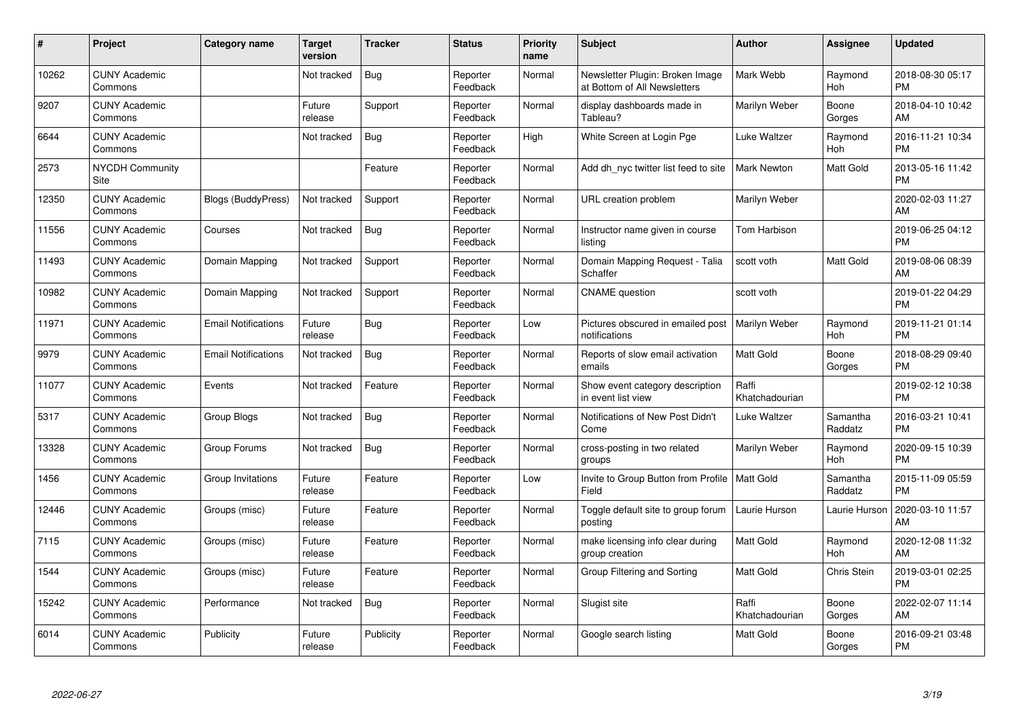| #     | Project                         | Category name              | Target<br>version | <b>Tracker</b> | <b>Status</b>        | <b>Priority</b><br>name | <b>Subject</b>                                                  | <b>Author</b>           | <b>Assignee</b>       | <b>Updated</b>                |
|-------|---------------------------------|----------------------------|-------------------|----------------|----------------------|-------------------------|-----------------------------------------------------------------|-------------------------|-----------------------|-------------------------------|
| 10262 | <b>CUNY Academic</b><br>Commons |                            | Not tracked       | <b>Bug</b>     | Reporter<br>Feedback | Normal                  | Newsletter Plugin: Broken Image<br>at Bottom of All Newsletters | Mark Webb               | Raymond<br>Hoh        | 2018-08-30 05:17<br><b>PM</b> |
| 9207  | <b>CUNY Academic</b><br>Commons |                            | Future<br>release | Support        | Reporter<br>Feedback | Normal                  | display dashboards made in<br>Tableau?                          | Marilyn Weber           | Boone<br>Gorges       | 2018-04-10 10:42<br>AM        |
| 6644  | <b>CUNY Academic</b><br>Commons |                            | Not tracked       | Bug            | Reporter<br>Feedback | High                    | White Screen at Login Pge                                       | Luke Waltzer            | Raymond<br>Hoh        | 2016-11-21 10:34<br><b>PM</b> |
| 2573  | <b>NYCDH Community</b><br>Site  |                            |                   | Feature        | Reporter<br>Feedback | Normal                  | Add dh_nyc twitter list feed to site                            | <b>Mark Newton</b>      | <b>Matt Gold</b>      | 2013-05-16 11:42<br><b>PM</b> |
| 12350 | <b>CUNY Academic</b><br>Commons | Blogs (BuddyPress)         | Not tracked       | Support        | Reporter<br>Feedback | Normal                  | URL creation problem                                            | Marilyn Weber           |                       | 2020-02-03 11:27<br>AM        |
| 11556 | <b>CUNY Academic</b><br>Commons | Courses                    | Not tracked       | Bug            | Reporter<br>Feedback | Normal                  | Instructor name given in course<br>listina                      | Tom Harbison            |                       | 2019-06-25 04:12<br><b>PM</b> |
| 11493 | <b>CUNY Academic</b><br>Commons | Domain Mapping             | Not tracked       | Support        | Reporter<br>Feedback | Normal                  | Domain Mapping Request - Talia<br>Schaffer                      | scott voth              | <b>Matt Gold</b>      | 2019-08-06 08:39<br>AM        |
| 10982 | <b>CUNY Academic</b><br>Commons | Domain Mapping             | Not tracked       | Support        | Reporter<br>Feedback | Normal                  | <b>CNAME</b> question                                           | scott voth              |                       | 2019-01-22 04:29<br><b>PM</b> |
| 11971 | <b>CUNY Academic</b><br>Commons | <b>Email Notifications</b> | Future<br>release | <b>Bug</b>     | Reporter<br>Feedback | Low                     | Pictures obscured in emailed post<br>notifications              | Marilyn Weber           | Raymond<br>Hoh        | 2019-11-21 01:14<br><b>PM</b> |
| 9979  | <b>CUNY Academic</b><br>Commons | <b>Email Notifications</b> | Not tracked       | Bug            | Reporter<br>Feedback | Normal                  | Reports of slow email activation<br>emails                      | Matt Gold               | Boone<br>Gorges       | 2018-08-29 09:40<br><b>PM</b> |
| 11077 | <b>CUNY Academic</b><br>Commons | Events                     | Not tracked       | Feature        | Reporter<br>Feedback | Normal                  | Show event category description<br>in event list view           | Raffi<br>Khatchadourian |                       | 2019-02-12 10:38<br><b>PM</b> |
| 5317  | <b>CUNY Academic</b><br>Commons | Group Blogs                | Not tracked       | <b>Bug</b>     | Reporter<br>Feedback | Normal                  | Notifications of New Post Didn't<br>Come                        | Luke Waltzer            | Samantha<br>Raddatz   | 2016-03-21 10:41<br><b>PM</b> |
| 13328 | <b>CUNY Academic</b><br>Commons | Group Forums               | Not tracked       | <b>Bug</b>     | Reporter<br>Feedback | Normal                  | cross-posting in two related<br>groups                          | Marilyn Weber           | Raymond<br>Hoh        | 2020-09-15 10:39<br><b>PM</b> |
| 1456  | <b>CUNY Academic</b><br>Commons | Group Invitations          | Future<br>release | Feature        | Reporter<br>Feedback | Low                     | Invite to Group Button from Profile   Matt Gold<br>Field        |                         | Samantha<br>Raddatz   | 2015-11-09 05:59<br><b>PM</b> |
| 12446 | <b>CUNY Academic</b><br>Commons | Groups (misc)              | Future<br>release | Feature        | Reporter<br>Feedback | Normal                  | Toggle default site to group forum<br>posting                   | Laurie Hurson           | Laurie Hurson         | 2020-03-10 11:57<br>AM        |
| 7115  | <b>CUNY Academic</b><br>Commons | Groups (misc)              | Future<br>release | Feature        | Reporter<br>Feedback | Normal                  | make licensing info clear during<br>group creation              | <b>Matt Gold</b>        | Raymond<br><b>Hoh</b> | 2020-12-08 11:32<br>AM        |
| 1544  | <b>CUNY Academic</b><br>Commons | Groups (misc)              | Future<br>release | Feature        | Reporter<br>Feedback | Normal                  | Group Filtering and Sorting                                     | <b>Matt Gold</b>        | Chris Stein           | 2019-03-01 02:25<br><b>PM</b> |
| 15242 | <b>CUNY Academic</b><br>Commons | Performance                | Not tracked       | Bug            | Reporter<br>Feedback | Normal                  | Slugist site                                                    | Raffi<br>Khatchadourian | Boone<br>Gorges       | 2022-02-07 11:14<br>AM        |
| 6014  | <b>CUNY Academic</b><br>Commons | Publicity                  | Future<br>release | Publicity      | Reporter<br>Feedback | Normal                  | Google search listing                                           | <b>Matt Gold</b>        | Boone<br>Gorges       | 2016-09-21 03:48<br>PM        |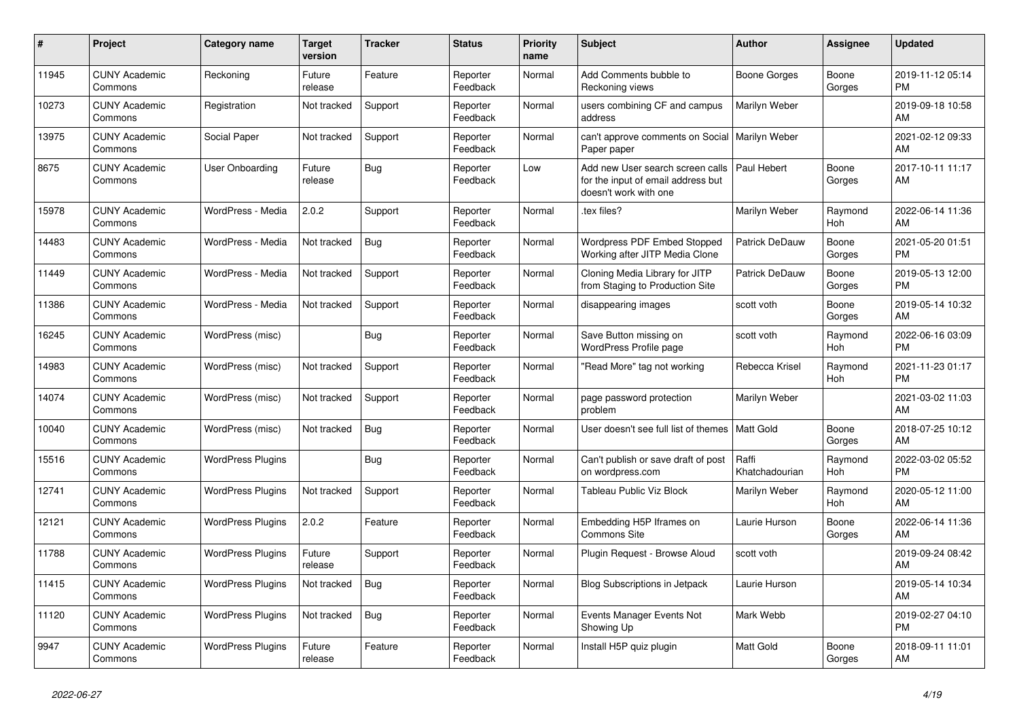| #     | Project                         | Category name            | <b>Target</b><br>version | <b>Tracker</b> | <b>Status</b>        | <b>Priority</b><br>name | <b>Subject</b>                                                                                  | <b>Author</b>           | <b>Assignee</b> | <b>Updated</b>                |
|-------|---------------------------------|--------------------------|--------------------------|----------------|----------------------|-------------------------|-------------------------------------------------------------------------------------------------|-------------------------|-----------------|-------------------------------|
| 11945 | <b>CUNY Academic</b><br>Commons | Reckoning                | Future<br>release        | Feature        | Reporter<br>Feedback | Normal                  | Add Comments bubble to<br>Reckoning views                                                       | Boone Gorges            | Boone<br>Gorges | 2019-11-12 05:14<br><b>PM</b> |
| 10273 | <b>CUNY Academic</b><br>Commons | Registration             | Not tracked              | Support        | Reporter<br>Feedback | Normal                  | users combining CF and campus<br>address                                                        | Marilyn Weber           |                 | 2019-09-18 10:58<br>AM        |
| 13975 | <b>CUNY Academic</b><br>Commons | Social Paper             | Not tracked              | Support        | Reporter<br>Feedback | Normal                  | can't approve comments on Social<br>Paper paper                                                 | Marilyn Weber           |                 | 2021-02-12 09:33<br>AM        |
| 8675  | <b>CUNY Academic</b><br>Commons | User Onboarding          | Future<br>release        | <b>Bug</b>     | Reporter<br>Feedback | Low                     | Add new User search screen calls<br>for the input of email address but<br>doesn't work with one | Paul Hebert             | Boone<br>Gorges | 2017-10-11 11:17<br>AM        |
| 15978 | <b>CUNY Academic</b><br>Commons | WordPress - Media        | 2.0.2                    | Support        | Reporter<br>Feedback | Normal                  | tex files?                                                                                      | Marilyn Weber           | Raymond<br>Hoh  | 2022-06-14 11:36<br>AM        |
| 14483 | <b>CUNY Academic</b><br>Commons | WordPress - Media        | Not tracked              | <b>Bug</b>     | Reporter<br>Feedback | Normal                  | Wordpress PDF Embed Stopped<br>Working after JITP Media Clone                                   | Patrick DeDauw          | Boone<br>Gorges | 2021-05-20 01:51<br><b>PM</b> |
| 11449 | <b>CUNY Academic</b><br>Commons | WordPress - Media        | Not tracked              | Support        | Reporter<br>Feedback | Normal                  | Cloning Media Library for JITP<br>from Staging to Production Site                               | Patrick DeDauw          | Boone<br>Gorges | 2019-05-13 12:00<br><b>PM</b> |
| 11386 | <b>CUNY Academic</b><br>Commons | WordPress - Media        | Not tracked              | Support        | Reporter<br>Feedback | Normal                  | disappearing images                                                                             | scott voth              | Boone<br>Gorges | 2019-05-14 10:32<br>AM        |
| 16245 | <b>CUNY Academic</b><br>Commons | WordPress (misc)         |                          | Bug            | Reporter<br>Feedback | Normal                  | Save Button missing on<br>WordPress Profile page                                                | scott voth              | Raymond<br>Hoh  | 2022-06-16 03:09<br><b>PM</b> |
| 14983 | <b>CUNY Academic</b><br>Commons | WordPress (misc)         | Not tracked              | Support        | Reporter<br>Feedback | Normal                  | 'Read More" tag not working                                                                     | Rebecca Krisel          | Raymond<br>Hoh  | 2021-11-23 01:17<br><b>PM</b> |
| 14074 | <b>CUNY Academic</b><br>Commons | WordPress (misc)         | Not tracked              | Support        | Reporter<br>Feedback | Normal                  | page password protection<br>problem                                                             | Marilyn Weber           |                 | 2021-03-02 11:03<br>AM        |
| 10040 | <b>CUNY Academic</b><br>Commons | WordPress (misc)         | Not tracked              | Bug            | Reporter<br>Feedback | Normal                  | User doesn't see full list of themes   Matt Gold                                                |                         | Boone<br>Gorges | 2018-07-25 10:12<br>AM        |
| 15516 | <b>CUNY Academic</b><br>Commons | <b>WordPress Plugins</b> |                          | <b>Bug</b>     | Reporter<br>Feedback | Normal                  | Can't publish or save draft of post<br>on wordpress.com                                         | Raffi<br>Khatchadourian | Raymond<br>Hoh  | 2022-03-02 05:52<br><b>PM</b> |
| 12741 | <b>CUNY Academic</b><br>Commons | <b>WordPress Plugins</b> | Not tracked              | Support        | Reporter<br>Feedback | Normal                  | Tableau Public Viz Block                                                                        | Marilyn Weber           | Raymond<br>Hoh  | 2020-05-12 11:00<br>AM        |
| 12121 | <b>CUNY Academic</b><br>Commons | <b>WordPress Plugins</b> | 2.0.2                    | Feature        | Reporter<br>Feedback | Normal                  | Embedding H5P Iframes on<br>Commons Site                                                        | Laurie Hurson           | Boone<br>Gorges | 2022-06-14 11:36<br>AM        |
| 11788 | <b>CUNY Academic</b><br>Commons | <b>WordPress Plugins</b> | Future<br>release        | Support        | Reporter<br>Feedback | Normal                  | Plugin Request - Browse Aloud                                                                   | scott voth              |                 | 2019-09-24 08:42<br>AM        |
| 11415 | <b>CUNY Academic</b><br>Commons | <b>WordPress Plugins</b> | Not tracked              | <b>Bug</b>     | Reporter<br>Feedback | Normal                  | <b>Blog Subscriptions in Jetpack</b>                                                            | Laurie Hurson           |                 | 2019-05-14 10:34<br>AM        |
| 11120 | <b>CUNY Academic</b><br>Commons | <b>WordPress Plugins</b> | Not tracked              | <b>Bug</b>     | Reporter<br>Feedback | Normal                  | Events Manager Events Not<br>Showing Up                                                         | Mark Webb               |                 | 2019-02-27 04:10<br><b>PM</b> |
| 9947  | <b>CUNY Academic</b><br>Commons | <b>WordPress Plugins</b> | Future<br>release        | Feature        | Reporter<br>Feedback | Normal                  | Install H5P quiz plugin                                                                         | <b>Matt Gold</b>        | Boone<br>Gorges | 2018-09-11 11:01<br>AM        |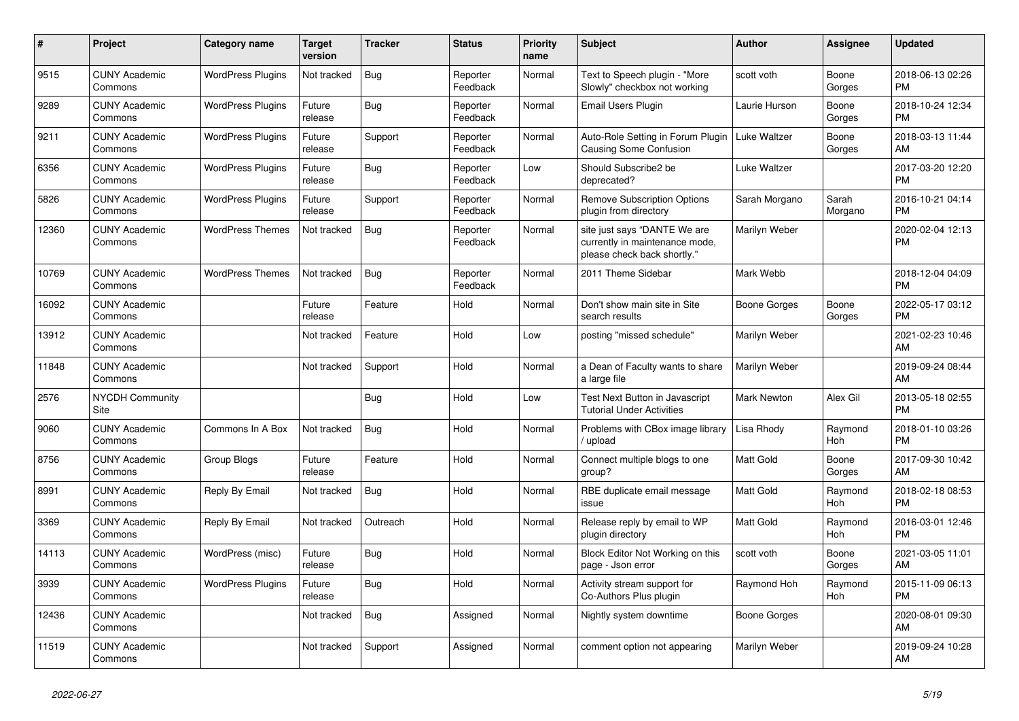| $\#$  | Project                         | Category name            | <b>Target</b><br>version | <b>Tracker</b> | <b>Status</b>        | Priority<br>name | <b>Subject</b>                                                                                | Author              | Assignee              | <b>Updated</b>                |
|-------|---------------------------------|--------------------------|--------------------------|----------------|----------------------|------------------|-----------------------------------------------------------------------------------------------|---------------------|-----------------------|-------------------------------|
| 9515  | <b>CUNY Academic</b><br>Commons | <b>WordPress Plugins</b> | Not tracked              | <b>Bug</b>     | Reporter<br>Feedback | Normal           | Text to Speech plugin - "More<br>Slowly" checkbox not working                                 | scott voth          | Boone<br>Gorges       | 2018-06-13 02:26<br><b>PM</b> |
| 9289  | <b>CUNY Academic</b><br>Commons | <b>WordPress Plugins</b> | Future<br>release        | Bug            | Reporter<br>Feedback | Normal           | <b>Email Users Plugin</b>                                                                     | Laurie Hurson       | Boone<br>Gorges       | 2018-10-24 12:34<br><b>PM</b> |
| 9211  | <b>CUNY Academic</b><br>Commons | <b>WordPress Plugins</b> | Future<br>release        | Support        | Reporter<br>Feedback | Normal           | Auto-Role Setting in Forum Plugin<br>Causing Some Confusion                                   | Luke Waltzer        | Boone<br>Gorges       | 2018-03-13 11:44<br>AM        |
| 6356  | <b>CUNY Academic</b><br>Commons | <b>WordPress Plugins</b> | Future<br>release        | <b>Bug</b>     | Reporter<br>Feedback | Low              | Should Subscribe2 be<br>deprecated?                                                           | Luke Waltzer        |                       | 2017-03-20 12:20<br><b>PM</b> |
| 5826  | <b>CUNY Academic</b><br>Commons | <b>WordPress Plugins</b> | Future<br>release        | Support        | Reporter<br>Feedback | Normal           | <b>Remove Subscription Options</b><br>plugin from directory                                   | Sarah Morgano       | Sarah<br>Morgano      | 2016-10-21 04:14<br><b>PM</b> |
| 12360 | <b>CUNY Academic</b><br>Commons | <b>WordPress Themes</b>  | Not tracked              | <b>Bug</b>     | Reporter<br>Feedback | Normal           | site just says "DANTE We are<br>currently in maintenance mode,<br>please check back shortly." | Marilyn Weber       |                       | 2020-02-04 12:13<br><b>PM</b> |
| 10769 | <b>CUNY Academic</b><br>Commons | <b>WordPress Themes</b>  | Not tracked              | <b>Bug</b>     | Reporter<br>Feedback | Normal           | 2011 Theme Sidebar                                                                            | Mark Webb           |                       | 2018-12-04 04:09<br><b>PM</b> |
| 16092 | <b>CUNY Academic</b><br>Commons |                          | Future<br>release        | Feature        | Hold                 | Normal           | Don't show main site in Site<br>search results                                                | Boone Gorges        | Boone<br>Gorges       | 2022-05-17 03:12<br><b>PM</b> |
| 13912 | <b>CUNY Academic</b><br>Commons |                          | Not tracked              | Feature        | Hold                 | Low              | posting "missed schedule"                                                                     | Marilyn Weber       |                       | 2021-02-23 10:46<br>AM        |
| 11848 | <b>CUNY Academic</b><br>Commons |                          | Not tracked              | Support        | Hold                 | Normal           | a Dean of Faculty wants to share<br>a large file                                              | Marilyn Weber       |                       | 2019-09-24 08:44<br>AM        |
| 2576  | <b>NYCDH Community</b><br>Site  |                          |                          | Bug            | Hold                 | Low              | Test Next Button in Javascript<br><b>Tutorial Under Activities</b>                            | <b>Mark Newton</b>  | Alex Gil              | 2013-05-18 02:55<br><b>PM</b> |
| 9060  | <b>CUNY Academic</b><br>Commons | Commons In A Box         | Not tracked              | Bug            | Hold                 | Normal           | Problems with CBox image library<br>upload                                                    | Lisa Rhody          | Raymond<br>Hoh        | 2018-01-10 03:26<br><b>PM</b> |
| 8756  | <b>CUNY Academic</b><br>Commons | Group Blogs              | Future<br>release        | Feature        | Hold                 | Normal           | Connect multiple blogs to one<br>group?                                                       | <b>Matt Gold</b>    | Boone<br>Gorges       | 2017-09-30 10:42<br>AM        |
| 8991  | <b>CUNY Academic</b><br>Commons | Reply By Email           | Not tracked              | Bug            | Hold                 | Normal           | RBE duplicate email message<br>issue                                                          | <b>Matt Gold</b>    | Raymond<br>Hoh        | 2018-02-18 08:53<br><b>PM</b> |
| 3369  | <b>CUNY Academic</b><br>Commons | Reply By Email           | Not tracked              | Outreach       | Hold                 | Normal           | Release reply by email to WP<br>plugin directory                                              | <b>Matt Gold</b>    | Raymond<br>Hoh        | 2016-03-01 12:46<br><b>PM</b> |
| 14113 | <b>CUNY Academic</b><br>Commons | WordPress (misc)         | Future<br>release        | <b>Bug</b>     | Hold                 | Normal           | Block Editor Not Working on this<br>page - Json error                                         | scott voth          | Boone<br>Gorges       | 2021-03-05 11:01<br>AM        |
| 3939  | <b>CUNY Academic</b><br>Commons | <b>WordPress Plugins</b> | Future<br>release        | Bug            | Hold                 | Normal           | Activity stream support for<br>Co-Authors Plus plugin                                         | Raymond Hoh         | Raymond<br><b>Hoh</b> | 2015-11-09 06:13<br><b>PM</b> |
| 12436 | <b>CUNY Academic</b><br>Commons |                          | Not tracked              | <b>Bug</b>     | Assigned             | Normal           | Nightly system downtime                                                                       | <b>Boone Gorges</b> |                       | 2020-08-01 09:30<br>AM        |
| 11519 | <b>CUNY Academic</b><br>Commons |                          | Not tracked              | Support        | Assigned             | Normal           | comment option not appearing                                                                  | Marilyn Weber       |                       | 2019-09-24 10:28<br>AM        |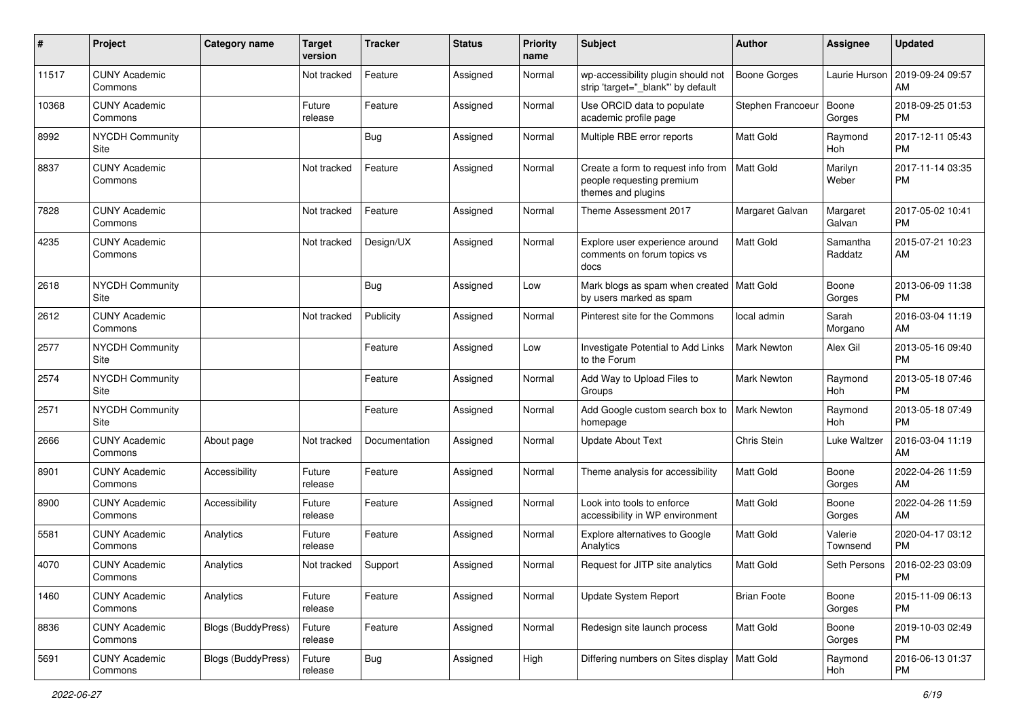| $\#$  | Project                         | <b>Category name</b>      | <b>Target</b><br>version | <b>Tracker</b> | <b>Status</b> | <b>Priority</b><br>name | <b>Subject</b>                                                                        | Author              | <b>Assignee</b>     | <b>Updated</b>                |
|-------|---------------------------------|---------------------------|--------------------------|----------------|---------------|-------------------------|---------------------------------------------------------------------------------------|---------------------|---------------------|-------------------------------|
| 11517 | <b>CUNY Academic</b><br>Commons |                           | Not tracked              | Feature        | Assigned      | Normal                  | wp-accessibility plugin should not<br>strip 'target="_blank" by default               | <b>Boone Gorges</b> | Laurie Hurson       | 2019-09-24 09:57<br>AM        |
| 10368 | <b>CUNY Academic</b><br>Commons |                           | Future<br>release        | Feature        | Assigned      | Normal                  | Use ORCID data to populate<br>academic profile page                                   | Stephen Francoeur   | Boone<br>Gorges     | 2018-09-25 01:53<br><b>PM</b> |
| 8992  | <b>NYCDH Community</b><br>Site  |                           |                          | <b>Bug</b>     | Assigned      | Normal                  | Multiple RBE error reports                                                            | Matt Gold           | Raymond<br>Hoh      | 2017-12-11 05:43<br><b>PM</b> |
| 8837  | <b>CUNY Academic</b><br>Commons |                           | Not tracked              | Feature        | Assigned      | Normal                  | Create a form to request info from<br>people requesting premium<br>themes and plugins | <b>Matt Gold</b>    | Marilyn<br>Weber    | 2017-11-14 03:35<br><b>PM</b> |
| 7828  | <b>CUNY Academic</b><br>Commons |                           | Not tracked              | Feature        | Assigned      | Normal                  | Theme Assessment 2017                                                                 | Margaret Galvan     | Margaret<br>Galvan  | 2017-05-02 10:41<br><b>PM</b> |
| 4235  | <b>CUNY Academic</b><br>Commons |                           | Not tracked              | Design/UX      | Assigned      | Normal                  | Explore user experience around<br>comments on forum topics vs<br>docs                 | Matt Gold           | Samantha<br>Raddatz | 2015-07-21 10:23<br>AM        |
| 2618  | <b>NYCDH Community</b><br>Site  |                           |                          | <b>Bug</b>     | Assigned      | Low                     | Mark blogs as spam when created   Matt Gold<br>by users marked as spam                |                     | Boone<br>Gorges     | 2013-06-09 11:38<br><b>PM</b> |
| 2612  | <b>CUNY Academic</b><br>Commons |                           | Not tracked              | Publicity      | Assigned      | Normal                  | Pinterest site for the Commons                                                        | local admin         | Sarah<br>Morgano    | 2016-03-04 11:19<br>AM        |
| 2577  | <b>NYCDH Community</b><br>Site  |                           |                          | Feature        | Assigned      | Low                     | Investigate Potential to Add Links<br>to the Forum                                    | Mark Newton         | Alex Gil            | 2013-05-16 09:40<br><b>PM</b> |
| 2574  | NYCDH Community<br>Site         |                           |                          | Feature        | Assigned      | Normal                  | Add Way to Upload Files to<br>Groups                                                  | Mark Newton         | Raymond<br>Hoh      | 2013-05-18 07:46<br><b>PM</b> |
| 2571  | <b>NYCDH Community</b><br>Site  |                           |                          | Feature        | Assigned      | Normal                  | Add Google custom search box to<br>homepage                                           | <b>Mark Newton</b>  | Raymond<br>Hoh      | 2013-05-18 07:49<br><b>PM</b> |
| 2666  | <b>CUNY Academic</b><br>Commons | About page                | Not tracked              | Documentation  | Assigned      | Normal                  | <b>Update About Text</b>                                                              | Chris Stein         | Luke Waltzer        | 2016-03-04 11:19<br>AM        |
| 8901  | <b>CUNY Academic</b><br>Commons | Accessibility             | Future<br>release        | Feature        | Assigned      | Normal                  | Theme analysis for accessibility                                                      | <b>Matt Gold</b>    | Boone<br>Gorges     | 2022-04-26 11:59<br>AM        |
| 8900  | <b>CUNY Academic</b><br>Commons | Accessibility             | Future<br>release        | Feature        | Assigned      | Normal                  | Look into tools to enforce<br>accessibility in WP environment                         | Matt Gold           | Boone<br>Gorges     | 2022-04-26 11:59<br>AM        |
| 5581  | <b>CUNY Academic</b><br>Commons | Analytics                 | Future<br>release        | Feature        | Assigned      | Normal                  | Explore alternatives to Google<br>Analytics                                           | Matt Gold           | Valerie<br>Townsend | 2020-04-17 03:12<br>PM        |
| 4070  | <b>CUNY Academic</b><br>Commons | Analytics                 | Not tracked              | Support        | Assigned      | Normal                  | Request for JITP site analytics                                                       | Matt Gold           | Seth Persons        | 2016-02-23 03:09<br>PM        |
| 1460  | <b>CUNY Academic</b><br>Commons | Analytics                 | Future<br>release        | Feature        | Assigned      | Normal                  | Update System Report                                                                  | <b>Brian Foote</b>  | Boone<br>Gorges     | 2015-11-09 06:13<br><b>PM</b> |
| 8836  | <b>CUNY Academic</b><br>Commons | <b>Blogs (BuddyPress)</b> | Future<br>release        | Feature        | Assigned      | Normal                  | Redesign site launch process                                                          | Matt Gold           | Boone<br>Gorges     | 2019-10-03 02:49<br><b>PM</b> |
| 5691  | <b>CUNY Academic</b><br>Commons | <b>Blogs (BuddyPress)</b> | Future<br>release        | Bug            | Assigned      | High                    | Differing numbers on Sites display                                                    | Matt Gold           | Raymond<br>Hoh      | 2016-06-13 01:37<br><b>PM</b> |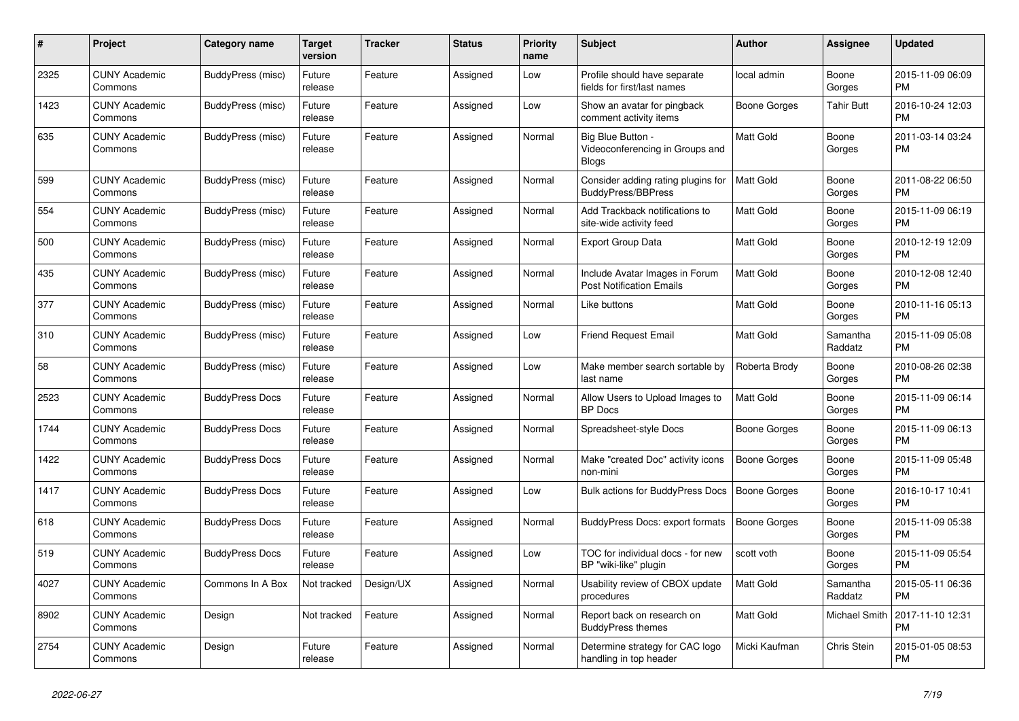| $\#$ | <b>Project</b>                  | Category name          | <b>Target</b><br>version | Tracker   | <b>Status</b> | <b>Priority</b><br>name | <b>Subject</b>                                                       | <b>Author</b>       | <b>Assignee</b>     | <b>Updated</b>                |
|------|---------------------------------|------------------------|--------------------------|-----------|---------------|-------------------------|----------------------------------------------------------------------|---------------------|---------------------|-------------------------------|
| 2325 | <b>CUNY Academic</b><br>Commons | BuddyPress (misc)      | Future<br>release        | Feature   | Assigned      | Low                     | Profile should have separate<br>fields for first/last names          | local admin         | Boone<br>Gorges     | 2015-11-09 06:09<br><b>PM</b> |
| 1423 | <b>CUNY Academic</b><br>Commons | BuddyPress (misc)      | Future<br>release        | Feature   | Assigned      | Low                     | Show an avatar for pingback<br>comment activity items                | Boone Gorges        | <b>Tahir Butt</b>   | 2016-10-24 12:03<br><b>PM</b> |
| 635  | <b>CUNY Academic</b><br>Commons | BuddyPress (misc)      | Future<br>release        | Feature   | Assigned      | Normal                  | Big Blue Button -<br>Videoconferencing in Groups and<br><b>Blogs</b> | <b>Matt Gold</b>    | Boone<br>Gorges     | 2011-03-14 03:24<br><b>PM</b> |
| 599  | <b>CUNY Academic</b><br>Commons | BuddyPress (misc)      | Future<br>release        | Feature   | Assigned      | Normal                  | Consider adding rating plugins for<br>BuddyPress/BBPress             | <b>Matt Gold</b>    | Boone<br>Gorges     | 2011-08-22 06:50<br><b>PM</b> |
| 554  | <b>CUNY Academic</b><br>Commons | BuddyPress (misc)      | Future<br>release        | Feature   | Assigned      | Normal                  | Add Trackback notifications to<br>site-wide activity feed            | <b>Matt Gold</b>    | Boone<br>Gorges     | 2015-11-09 06:19<br><b>PM</b> |
| 500  | <b>CUNY Academic</b><br>Commons | BuddyPress (misc)      | Future<br>release        | Feature   | Assigned      | Normal                  | <b>Export Group Data</b>                                             | <b>Matt Gold</b>    | Boone<br>Gorges     | 2010-12-19 12:09<br><b>PM</b> |
| 435  | <b>CUNY Academic</b><br>Commons | BuddyPress (misc)      | Future<br>release        | Feature   | Assigned      | Normal                  | Include Avatar Images in Forum<br><b>Post Notification Emails</b>    | <b>Matt Gold</b>    | Boone<br>Gorges     | 2010-12-08 12:40<br><b>PM</b> |
| 377  | <b>CUNY Academic</b><br>Commons | BuddyPress (misc)      | Future<br>release        | Feature   | Assigned      | Normal                  | Like buttons                                                         | <b>Matt Gold</b>    | Boone<br>Gorges     | 2010-11-16 05:13<br><b>PM</b> |
| 310  | <b>CUNY Academic</b><br>Commons | BuddyPress (misc)      | Future<br>release        | Feature   | Assigned      | Low                     | <b>Friend Request Email</b>                                          | <b>Matt Gold</b>    | Samantha<br>Raddatz | 2015-11-09 05:08<br><b>PM</b> |
| 58   | <b>CUNY Academic</b><br>Commons | BuddyPress (misc)      | Future<br>release        | Feature   | Assigned      | Low                     | Make member search sortable by<br>last name                          | Roberta Brody       | Boone<br>Gorges     | 2010-08-26 02:38<br><b>PM</b> |
| 2523 | <b>CUNY Academic</b><br>Commons | <b>BuddyPress Docs</b> | Future<br>release        | Feature   | Assigned      | Normal                  | Allow Users to Upload Images to<br><b>BP</b> Docs                    | Matt Gold           | Boone<br>Gorges     | 2015-11-09 06:14<br><b>PM</b> |
| 1744 | <b>CUNY Academic</b><br>Commons | <b>BuddyPress Docs</b> | Future<br>release        | Feature   | Assigned      | Normal                  | Spreadsheet-style Docs                                               | Boone Gorges        | Boone<br>Gorges     | 2015-11-09 06:13<br><b>PM</b> |
| 1422 | <b>CUNY Academic</b><br>Commons | <b>BuddyPress Docs</b> | Future<br>release        | Feature   | Assigned      | Normal                  | Make "created Doc" activity icons<br>non-mini                        | <b>Boone Gorges</b> | Boone<br>Gorges     | 2015-11-09 05:48<br><b>PM</b> |
| 1417 | <b>CUNY Academic</b><br>Commons | <b>BuddyPress Docs</b> | Future<br>release        | Feature   | Assigned      | Low                     | <b>Bulk actions for BuddyPress Docs</b>                              | <b>Boone Gorges</b> | Boone<br>Gorges     | 2016-10-17 10:41<br><b>PM</b> |
| 618  | <b>CUNY Academic</b><br>Commons | <b>BuddyPress Docs</b> | Future<br>release        | Feature   | Assigned      | Normal                  | BuddyPress Docs: export formats                                      | <b>Boone Gorges</b> | Boone<br>Gorges     | 2015-11-09 05:38<br><b>PM</b> |
| 519  | <b>CUNY Academic</b><br>Commons | <b>BuddyPress Docs</b> | Future<br>release        | Feature   | Assigned      | Low                     | TOC for individual docs - for new<br>BP "wiki-like" plugin           | scott voth          | Boone<br>Gorges     | 2015-11-09 05:54<br><b>PM</b> |
| 4027 | <b>CUNY Academic</b><br>Commons | Commons In A Box       | Not tracked              | Design/UX | Assigned      | Normal                  | Usability review of CBOX update<br>procedures                        | <b>Matt Gold</b>    | Samantha<br>Raddatz | 2015-05-11 06:36<br><b>PM</b> |
| 8902 | <b>CUNY Academic</b><br>Commons | Design                 | Not tracked              | Feature   | Assigned      | Normal                  | Report back on research on<br><b>BuddyPress themes</b>               | <b>Matt Gold</b>    | Michael Smith       | 2017-11-10 12:31<br><b>PM</b> |
| 2754 | <b>CUNY Academic</b><br>Commons | Design                 | Future<br>release        | Feature   | Assigned      | Normal                  | Determine strategy for CAC logo<br>handling in top header            | Micki Kaufman       | Chris Stein         | 2015-01-05 08:53<br><b>PM</b> |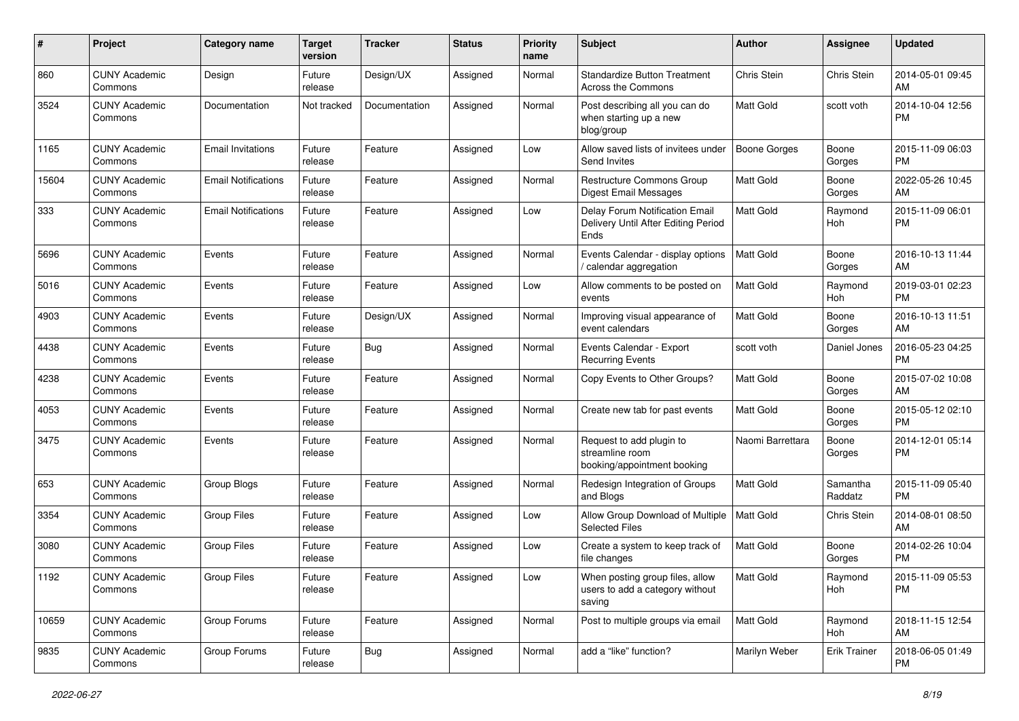| #     | Project                         | <b>Category name</b>       | <b>Target</b><br>version | <b>Tracker</b> | <b>Status</b> | <b>Priority</b><br>name | <b>Subject</b>                                                                | Author              | Assignee            | <b>Updated</b>                |
|-------|---------------------------------|----------------------------|--------------------------|----------------|---------------|-------------------------|-------------------------------------------------------------------------------|---------------------|---------------------|-------------------------------|
| 860   | <b>CUNY Academic</b><br>Commons | Design                     | Future<br>release        | Design/UX      | Assigned      | Normal                  | <b>Standardize Button Treatment</b><br>Across the Commons                     | Chris Stein         | Chris Stein         | 2014-05-01 09:45<br>AM        |
| 3524  | <b>CUNY Academic</b><br>Commons | Documentation              | Not tracked              | Documentation  | Assigned      | Normal                  | Post describing all you can do<br>when starting up a new<br>blog/group        | Matt Gold           | scott voth          | 2014-10-04 12:56<br>РM        |
| 1165  | <b>CUNY Academic</b><br>Commons | <b>Email Invitations</b>   | Future<br>release        | Feature        | Assigned      | Low                     | Allow saved lists of invitees under<br>Send Invites                           | <b>Boone Gorges</b> | Boone<br>Gorges     | 2015-11-09 06:03<br><b>PM</b> |
| 15604 | <b>CUNY Academic</b><br>Commons | <b>Email Notifications</b> | Future<br>release        | Feature        | Assigned      | Normal                  | <b>Restructure Commons Group</b><br>Digest Email Messages                     | Matt Gold           | Boone<br>Gorges     | 2022-05-26 10:45<br>AM        |
| 333   | <b>CUNY Academic</b><br>Commons | <b>Email Notifications</b> | Future<br>release        | Feature        | Assigned      | Low                     | Delay Forum Notification Email<br>Delivery Until After Editing Period<br>Ends | Matt Gold           | Raymond<br>Hoh      | 2015-11-09 06:01<br><b>PM</b> |
| 5696  | <b>CUNY Academic</b><br>Commons | Events                     | Future<br>release        | Feature        | Assigned      | Normal                  | Events Calendar - display options<br>calendar aggregation                     | Matt Gold           | Boone<br>Gorges     | 2016-10-13 11:44<br>AM        |
| 5016  | <b>CUNY Academic</b><br>Commons | Events                     | Future<br>release        | Feature        | Assigned      | Low                     | Allow comments to be posted on<br>events                                      | <b>Matt Gold</b>    | Raymond<br>Hoh      | 2019-03-01 02:23<br><b>PM</b> |
| 4903  | <b>CUNY Academic</b><br>Commons | Events                     | Future<br>release        | Design/UX      | Assigned      | Normal                  | Improving visual appearance of<br>event calendars                             | Matt Gold           | Boone<br>Gorges     | 2016-10-13 11:51<br>AM        |
| 4438  | <b>CUNY Academic</b><br>Commons | Events                     | Future<br>release        | <b>Bug</b>     | Assigned      | Normal                  | Events Calendar - Export<br><b>Recurring Events</b>                           | scott voth          | Daniel Jones        | 2016-05-23 04:25<br>РM        |
| 4238  | <b>CUNY Academic</b><br>Commons | Events                     | Future<br>release        | Feature        | Assigned      | Normal                  | Copy Events to Other Groups?                                                  | Matt Gold           | Boone<br>Gorges     | 2015-07-02 10:08<br>AM        |
| 4053  | <b>CUNY Academic</b><br>Commons | Events                     | Future<br>release        | Feature        | Assigned      | Normal                  | Create new tab for past events                                                | Matt Gold           | Boone<br>Gorges     | 2015-05-12 02:10<br><b>PM</b> |
| 3475  | <b>CUNY Academic</b><br>Commons | Events                     | Future<br>release        | Feature        | Assigned      | Normal                  | Request to add plugin to<br>streamline room<br>booking/appointment booking    | Naomi Barrettara    | Boone<br>Gorges     | 2014-12-01 05:14<br>PM        |
| 653   | <b>CUNY Academic</b><br>Commons | Group Blogs                | Future<br>release        | Feature        | Assigned      | Normal                  | Redesign Integration of Groups<br>and Blogs                                   | Matt Gold           | Samantha<br>Raddatz | 2015-11-09 05:40<br><b>PM</b> |
| 3354  | <b>CUNY Academic</b><br>Commons | <b>Group Files</b>         | Future<br>release        | Feature        | Assigned      | Low                     | Allow Group Download of Multiple<br><b>Selected Files</b>                     | Matt Gold           | Chris Stein         | 2014-08-01 08:50<br>AM        |
| 3080  | <b>CUNY Academic</b><br>Commons | <b>Group Files</b>         | Future<br>release        | Feature        | Assigned      | Low                     | Create a system to keep track of<br>file changes                              | <b>Matt Gold</b>    | Boone<br>Gorges     | 2014-02-26 10:04<br><b>PM</b> |
| 1192  | <b>CUNY Academic</b><br>Commons | <b>Group Files</b>         | Future<br>release        | Feature        | Assigned      | Low                     | When posting group files, allow<br>users to add a category without<br>saving  | Matt Gold           | Raymond<br>Hoh      | 2015-11-09 05:53<br><b>PM</b> |
| 10659 | <b>CUNY Academic</b><br>Commons | Group Forums               | Future<br>release        | Feature        | Assigned      | Normal                  | Post to multiple groups via email                                             | <b>Matt Gold</b>    | Raymond<br>Hoh      | 2018-11-15 12:54<br>AM        |
| 9835  | <b>CUNY Academic</b><br>Commons | Group Forums               | Future<br>release        | <b>Bug</b>     | Assigned      | Normal                  | add a "like" function?                                                        | Marilyn Weber       | <b>Erik Trainer</b> | 2018-06-05 01:49<br><b>PM</b> |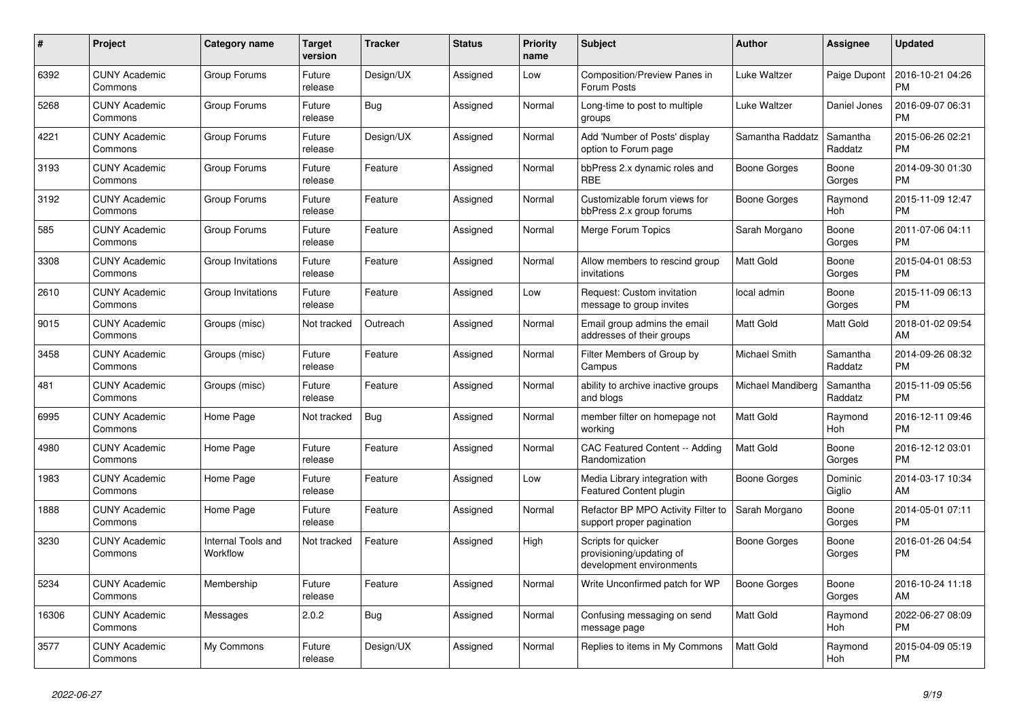| $\pmb{\#}$ | <b>Project</b>                  | Category name                  | <b>Target</b><br>version | Tracker    | <b>Status</b> | <b>Priority</b><br>name | <b>Subject</b>                                                              | <b>Author</b>       | <b>Assignee</b>     | <b>Updated</b>                |
|------------|---------------------------------|--------------------------------|--------------------------|------------|---------------|-------------------------|-----------------------------------------------------------------------------|---------------------|---------------------|-------------------------------|
| 6392       | <b>CUNY Academic</b><br>Commons | Group Forums                   | Future<br>release        | Design/UX  | Assigned      | Low                     | Composition/Preview Panes in<br>Forum Posts                                 | Luke Waltzer        | Paige Dupont        | 2016-10-21 04:26<br><b>PM</b> |
| 5268       | <b>CUNY Academic</b><br>Commons | Group Forums                   | Future<br>release        | <b>Bug</b> | Assigned      | Normal                  | Long-time to post to multiple<br>groups                                     | Luke Waltzer        | Daniel Jones        | 2016-09-07 06:31<br><b>PM</b> |
| 4221       | <b>CUNY Academic</b><br>Commons | Group Forums                   | Future<br>release        | Design/UX  | Assigned      | Normal                  | Add 'Number of Posts' display<br>option to Forum page                       | Samantha Raddatz    | Samantha<br>Raddatz | 2015-06-26 02:21<br><b>PM</b> |
| 3193       | <b>CUNY Academic</b><br>Commons | Group Forums                   | Future<br>release        | Feature    | Assigned      | Normal                  | bbPress 2.x dynamic roles and<br><b>RBE</b>                                 | <b>Boone Gorges</b> | Boone<br>Gorges     | 2014-09-30 01:30<br><b>PM</b> |
| 3192       | <b>CUNY Academic</b><br>Commons | Group Forums                   | Future<br>release        | Feature    | Assigned      | Normal                  | Customizable forum views for<br>bbPress 2.x group forums                    | Boone Gorges        | Raymond<br>Hoh      | 2015-11-09 12:47<br><b>PM</b> |
| 585        | <b>CUNY Academic</b><br>Commons | Group Forums                   | Future<br>release        | Feature    | Assigned      | Normal                  | Merge Forum Topics                                                          | Sarah Morgano       | Boone<br>Gorges     | 2011-07-06 04:11<br><b>PM</b> |
| 3308       | <b>CUNY Academic</b><br>Commons | Group Invitations              | Future<br>release        | Feature    | Assigned      | Normal                  | Allow members to rescind group<br>invitations                               | <b>Matt Gold</b>    | Boone<br>Gorges     | 2015-04-01 08:53<br><b>PM</b> |
| 2610       | <b>CUNY Academic</b><br>Commons | Group Invitations              | Future<br>release        | Feature    | Assigned      | Low                     | Request: Custom invitation<br>message to group invites                      | local admin         | Boone<br>Gorges     | 2015-11-09 06:13<br><b>PM</b> |
| 9015       | <b>CUNY Academic</b><br>Commons | Groups (misc)                  | Not tracked              | Outreach   | Assigned      | Normal                  | Email group admins the email<br>addresses of their groups                   | Matt Gold           | Matt Gold           | 2018-01-02 09:54<br>AM        |
| 3458       | <b>CUNY Academic</b><br>Commons | Groups (misc)                  | Future<br>release        | Feature    | Assigned      | Normal                  | Filter Members of Group by<br>Campus                                        | Michael Smith       | Samantha<br>Raddatz | 2014-09-26 08:32<br><b>PM</b> |
| 481        | <b>CUNY Academic</b><br>Commons | Groups (misc)                  | Future<br>release        | Feature    | Assigned      | Normal                  | ability to archive inactive groups<br>and blogs                             | Michael Mandiberg   | Samantha<br>Raddatz | 2015-11-09 05:56<br><b>PM</b> |
| 6995       | <b>CUNY Academic</b><br>Commons | Home Page                      | Not tracked              | <b>Bug</b> | Assigned      | Normal                  | member filter on homepage not<br>working                                    | <b>Matt Gold</b>    | Raymond<br>Hoh      | 2016-12-11 09:46<br><b>PM</b> |
| 4980       | <b>CUNY Academic</b><br>Commons | Home Page                      | Future<br>release        | Feature    | Assigned      | Normal                  | CAC Featured Content -- Adding<br>Randomization                             | <b>Matt Gold</b>    | Boone<br>Gorges     | 2016-12-12 03:01<br><b>PM</b> |
| 1983       | <b>CUNY Academic</b><br>Commons | Home Page                      | Future<br>release        | Feature    | Assigned      | Low                     | Media Library integration with<br><b>Featured Content plugin</b>            | Boone Gorges        | Dominic<br>Giglio   | 2014-03-17 10:34<br>AM        |
| 1888       | <b>CUNY Academic</b><br>Commons | Home Page                      | Future<br>release        | Feature    | Assigned      | Normal                  | Refactor BP MPO Activity Filter to<br>support proper pagination             | Sarah Morgano       | Boone<br>Gorges     | 2014-05-01 07:11<br><b>PM</b> |
| 3230       | <b>CUNY Academic</b><br>Commons | Internal Tools and<br>Workflow | Not tracked              | Feature    | Assigned      | High                    | Scripts for quicker<br>provisioning/updating of<br>development environments | Boone Gorges        | Boone<br>Gorges     | 2016-01-26 04:54<br><b>PM</b> |
| 5234       | <b>CUNY Academic</b><br>Commons | Membership                     | Future<br>release        | Feature    | Assigned      | Normal                  | Write Unconfirmed patch for WP                                              | <b>Boone Gorges</b> | Boone<br>Gorges     | 2016-10-24 11:18<br>AM        |
| 16306      | <b>CUNY Academic</b><br>Commons | Messages                       | 2.0.2                    | <b>Bug</b> | Assigned      | Normal                  | Confusing messaging on send<br>message page                                 | <b>Matt Gold</b>    | Raymond<br>Hoh      | 2022-06-27 08:09<br><b>PM</b> |
| 3577       | <b>CUNY Academic</b><br>Commons | My Commons                     | Future<br>release        | Design/UX  | Assigned      | Normal                  | Replies to items in My Commons                                              | <b>Matt Gold</b>    | Raymond<br>Hoh      | 2015-04-09 05:19<br><b>PM</b> |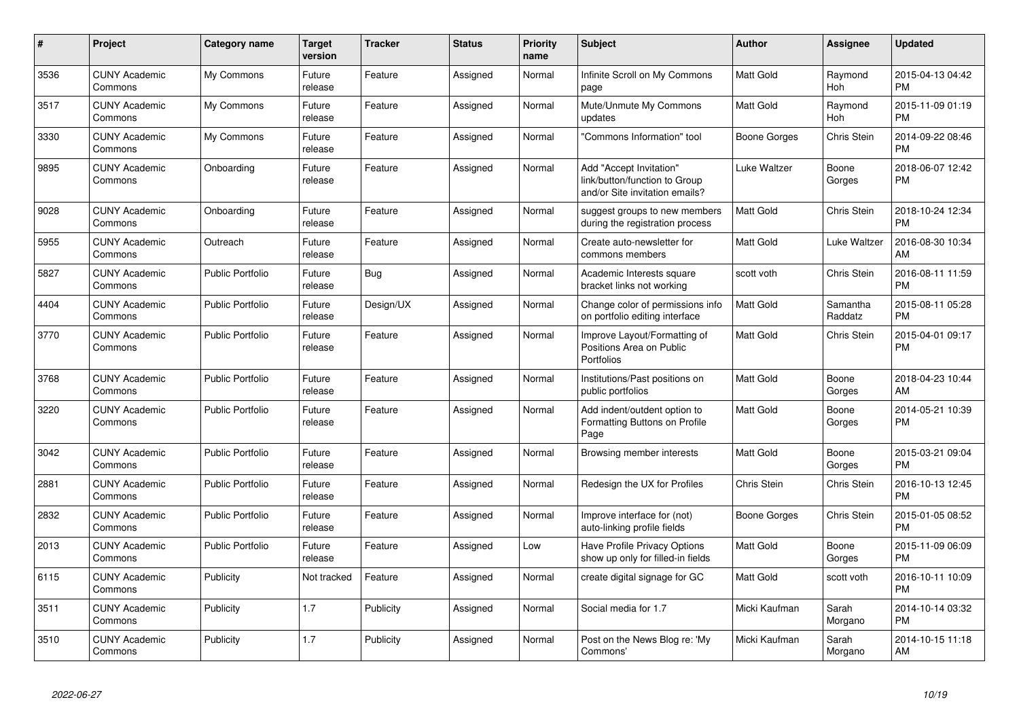| #    | <b>Project</b>                  | <b>Category name</b>    | <b>Target</b><br>version | Tracker   | <b>Status</b> | Priority<br>name | <b>Subject</b>                                                                             | Author              | Assignee            | <b>Updated</b>                |
|------|---------------------------------|-------------------------|--------------------------|-----------|---------------|------------------|--------------------------------------------------------------------------------------------|---------------------|---------------------|-------------------------------|
| 3536 | <b>CUNY Academic</b><br>Commons | My Commons              | Future<br>release        | Feature   | Assigned      | Normal           | Infinite Scroll on My Commons<br>page                                                      | Matt Gold           | Raymond<br>Hoh      | 2015-04-13 04:42<br><b>PM</b> |
| 3517 | <b>CUNY Academic</b><br>Commons | My Commons              | Future<br>release        | Feature   | Assigned      | Normal           | Mute/Unmute My Commons<br>updates                                                          | Matt Gold           | Raymond<br>Hoh      | 2015-11-09 01:19<br><b>PM</b> |
| 3330 | <b>CUNY Academic</b><br>Commons | My Commons              | Future<br>release        | Feature   | Assigned      | Normal           | "Commons Information" tool                                                                 | Boone Gorges        | Chris Stein         | 2014-09-22 08:46<br>PM        |
| 9895 | <b>CUNY Academic</b><br>Commons | Onboarding              | Future<br>release        | Feature   | Assigned      | Normal           | Add "Accept Invitation"<br>link/button/function to Group<br>and/or Site invitation emails? | Luke Waltzer        | Boone<br>Gorges     | 2018-06-07 12:42<br><b>PM</b> |
| 9028 | <b>CUNY Academic</b><br>Commons | Onboarding              | Future<br>release        | Feature   | Assigned      | Normal           | suggest groups to new members<br>during the registration process                           | Matt Gold           | Chris Stein         | 2018-10-24 12:34<br><b>PM</b> |
| 5955 | <b>CUNY Academic</b><br>Commons | Outreach                | Future<br>release        | Feature   | Assigned      | Normal           | Create auto-newsletter for<br>commons members                                              | Matt Gold           | Luke Waltzer        | 2016-08-30 10:34<br>AM        |
| 5827 | <b>CUNY Academic</b><br>Commons | <b>Public Portfolio</b> | Future<br>release        | Bug       | Assigned      | Normal           | Academic Interests square<br>bracket links not working                                     | scott voth          | Chris Stein         | 2016-08-11 11:59<br><b>PM</b> |
| 4404 | <b>CUNY Academic</b><br>Commons | Public Portfolio        | Future<br>release        | Design/UX | Assigned      | Normal           | Change color of permissions info<br>on portfolio editing interface                         | Matt Gold           | Samantha<br>Raddatz | 2015-08-11 05:28<br><b>PM</b> |
| 3770 | <b>CUNY Academic</b><br>Commons | <b>Public Portfolio</b> | Future<br>release        | Feature   | Assigned      | Normal           | Improve Layout/Formatting of<br>Positions Area on Public<br>Portfolios                     | Matt Gold           | Chris Stein         | 2015-04-01 09:17<br>PM        |
| 3768 | <b>CUNY Academic</b><br>Commons | Public Portfolio        | Future<br>release        | Feature   | Assigned      | Normal           | Institutions/Past positions on<br>public portfolios                                        | Matt Gold           | Boone<br>Gorges     | 2018-04-23 10:44<br>AM        |
| 3220 | <b>CUNY Academic</b><br>Commons | <b>Public Portfolio</b> | Future<br>release        | Feature   | Assigned      | Normal           | Add indent/outdent option to<br>Formatting Buttons on Profile<br>Page                      | Matt Gold           | Boone<br>Gorges     | 2014-05-21 10:39<br><b>PM</b> |
| 3042 | <b>CUNY Academic</b><br>Commons | <b>Public Portfolio</b> | Future<br>release        | Feature   | Assigned      | Normal           | Browsing member interests                                                                  | Matt Gold           | Boone<br>Gorges     | 2015-03-21 09:04<br><b>PM</b> |
| 2881 | <b>CUNY Academic</b><br>Commons | <b>Public Portfolio</b> | Future<br>release        | Feature   | Assigned      | Normal           | Redesign the UX for Profiles                                                               | Chris Stein         | Chris Stein         | 2016-10-13 12:45<br><b>PM</b> |
| 2832 | <b>CUNY Academic</b><br>Commons | <b>Public Portfolio</b> | Future<br>release        | Feature   | Assigned      | Normal           | Improve interface for (not)<br>auto-linking profile fields                                 | <b>Boone Gorges</b> | Chris Stein         | 2015-01-05 08:52<br><b>PM</b> |
| 2013 | <b>CUNY Academic</b><br>Commons | <b>Public Portfolio</b> | Future<br>release        | Feature   | Assigned      | Low              | Have Profile Privacy Options<br>show up only for filled-in fields                          | Matt Gold           | Boone<br>Gorges     | 2015-11-09 06:09<br><b>PM</b> |
| 6115 | <b>CUNY Academic</b><br>Commons | Publicity               | Not tracked              | Feature   | Assigned      | Normal           | create digital signage for GC                                                              | Matt Gold           | scott voth          | 2016-10-11 10:09<br><b>PM</b> |
| 3511 | <b>CUNY Academic</b><br>Commons | Publicity               | 1.7                      | Publicity | Assigned      | Normal           | Social media for 1.7                                                                       | Micki Kaufman       | Sarah<br>Morgano    | 2014-10-14 03:32<br><b>PM</b> |
| 3510 | <b>CUNY Academic</b><br>Commons | Publicity               | 1.7                      | Publicity | Assigned      | Normal           | Post on the News Blog re: 'My<br>Commons'                                                  | Micki Kaufman       | Sarah<br>Morgano    | 2014-10-15 11:18<br>AM        |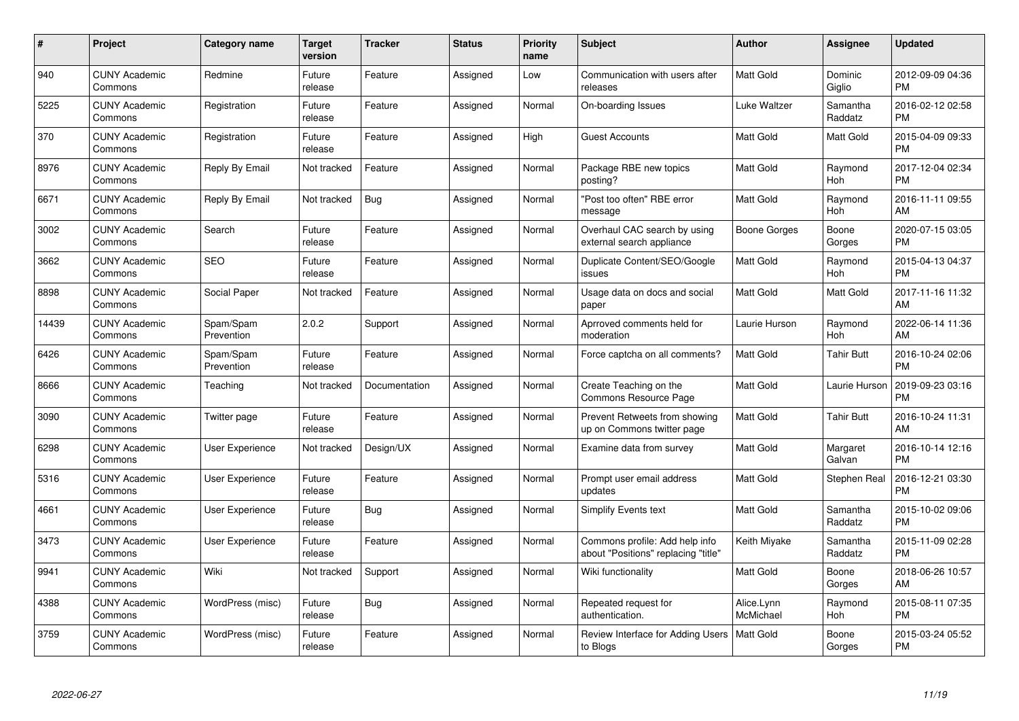| #     | Project                         | Category name           | <b>Target</b><br>version | <b>Tracker</b> | <b>Status</b> | <b>Priority</b><br>name | <b>Subject</b>                                                        | Author                  | <b>Assignee</b>       | <b>Updated</b>                |
|-------|---------------------------------|-------------------------|--------------------------|----------------|---------------|-------------------------|-----------------------------------------------------------------------|-------------------------|-----------------------|-------------------------------|
| 940   | <b>CUNY Academic</b><br>Commons | Redmine                 | Future<br>release        | Feature        | Assigned      | Low                     | Communication with users after<br>releases                            | <b>Matt Gold</b>        | Dominic<br>Giglio     | 2012-09-09 04:36<br><b>PM</b> |
| 5225  | <b>CUNY Academic</b><br>Commons | Registration            | Future<br>release        | Feature        | Assigned      | Normal                  | On-boarding Issues                                                    | Luke Waltzer            | Samantha<br>Raddatz   | 2016-02-12 02:58<br><b>PM</b> |
| 370   | <b>CUNY Academic</b><br>Commons | Registration            | Future<br>release        | Feature        | Assigned      | High                    | <b>Guest Accounts</b>                                                 | <b>Matt Gold</b>        | Matt Gold             | 2015-04-09 09:33<br><b>PM</b> |
| 8976  | <b>CUNY Academic</b><br>Commons | Reply By Email          | Not tracked              | Feature        | Assigned      | Normal                  | Package RBE new topics<br>posting?                                    | Matt Gold               | Raymond<br><b>Hoh</b> | 2017-12-04 02:34<br><b>PM</b> |
| 6671  | <b>CUNY Academic</b><br>Commons | Reply By Email          | Not tracked              | Bug            | Assigned      | Normal                  | "Post too often" RBE error<br>message                                 | <b>Matt Gold</b>        | Raymond<br><b>Hoh</b> | 2016-11-11 09:55<br>AM        |
| 3002  | <b>CUNY Academic</b><br>Commons | Search                  | Future<br>release        | Feature        | Assigned      | Normal                  | Overhaul CAC search by using<br>external search appliance             | <b>Boone Gorges</b>     | Boone<br>Gorges       | 2020-07-15 03:05<br><b>PM</b> |
| 3662  | <b>CUNY Academic</b><br>Commons | <b>SEO</b>              | Future<br>release        | Feature        | Assigned      | Normal                  | Duplicate Content/SEO/Google<br>issues                                | <b>Matt Gold</b>        | Raymond<br><b>Hoh</b> | 2015-04-13 04:37<br><b>PM</b> |
| 8898  | <b>CUNY Academic</b><br>Commons | Social Paper            | Not tracked              | Feature        | Assigned      | Normal                  | Usage data on docs and social<br>paper                                | <b>Matt Gold</b>        | Matt Gold             | 2017-11-16 11:32<br>AM        |
| 14439 | <b>CUNY Academic</b><br>Commons | Spam/Spam<br>Prevention | 2.0.2                    | Support        | Assigned      | Normal                  | Aprroved comments held for<br>moderation                              | Laurie Hurson           | Raymond<br>Hoh        | 2022-06-14 11:36<br>AM        |
| 6426  | <b>CUNY Academic</b><br>Commons | Spam/Spam<br>Prevention | Future<br>release        | Feature        | Assigned      | Normal                  | Force captcha on all comments?                                        | <b>Matt Gold</b>        | <b>Tahir Butt</b>     | 2016-10-24 02:06<br><b>PM</b> |
| 8666  | <b>CUNY Academic</b><br>Commons | Teaching                | Not tracked              | Documentation  | Assigned      | Normal                  | Create Teaching on the<br>Commons Resource Page                       | Matt Gold               | Laurie Hurson         | 2019-09-23 03:16<br><b>PM</b> |
| 3090  | <b>CUNY Academic</b><br>Commons | Twitter page            | Future<br>release        | Feature        | Assigned      | Normal                  | Prevent Retweets from showing<br>up on Commons twitter page           | Matt Gold               | <b>Tahir Butt</b>     | 2016-10-24 11:31<br>AM        |
| 6298  | <b>CUNY Academic</b><br>Commons | <b>User Experience</b>  | Not tracked              | Design/UX      | Assigned      | Normal                  | Examine data from survey                                              | <b>Matt Gold</b>        | Margaret<br>Galvan    | 2016-10-14 12:16<br><b>PM</b> |
| 5316  | <b>CUNY Academic</b><br>Commons | <b>User Experience</b>  | Future<br>release        | Feature        | Assigned      | Normal                  | Prompt user email address<br>updates                                  | <b>Matt Gold</b>        | Stephen Real          | 2016-12-21 03:30<br><b>PM</b> |
| 4661  | <b>CUNY Academic</b><br>Commons | User Experience         | Future<br>release        | <b>Bug</b>     | Assigned      | Normal                  | <b>Simplify Events text</b>                                           | <b>Matt Gold</b>        | Samantha<br>Raddatz   | 2015-10-02 09:06<br><b>PM</b> |
| 3473  | <b>CUNY Academic</b><br>Commons | <b>User Experience</b>  | Future<br>release        | Feature        | Assigned      | Normal                  | Commons profile: Add help info<br>about "Positions" replacing "title" | Keith Miyake            | Samantha<br>Raddatz   | 2015-11-09 02:28<br><b>PM</b> |
| 9941  | <b>CUNY Academic</b><br>Commons | Wiki                    | Not tracked              | Support        | Assigned      | Normal                  | Wiki functionality                                                    | Matt Gold               | Boone<br>Gorges       | 2018-06-26 10:57<br>AM        |
| 4388  | <b>CUNY Academic</b><br>Commons | WordPress (misc)        | Future<br>release        | <b>Bug</b>     | Assigned      | Normal                  | Repeated request for<br>authentication.                               | Alice.Lynn<br>McMichael | Raymond<br>Hoh        | 2015-08-11 07:35<br><b>PM</b> |
| 3759  | CUNY Academic<br>Commons        | WordPress (misc)        | Future<br>release        | Feature        | Assigned      | Normal                  | Review Interface for Adding Users<br>to Blogs                         | <b>Matt Gold</b>        | Boone<br>Gorges       | 2015-03-24 05:52<br><b>PM</b> |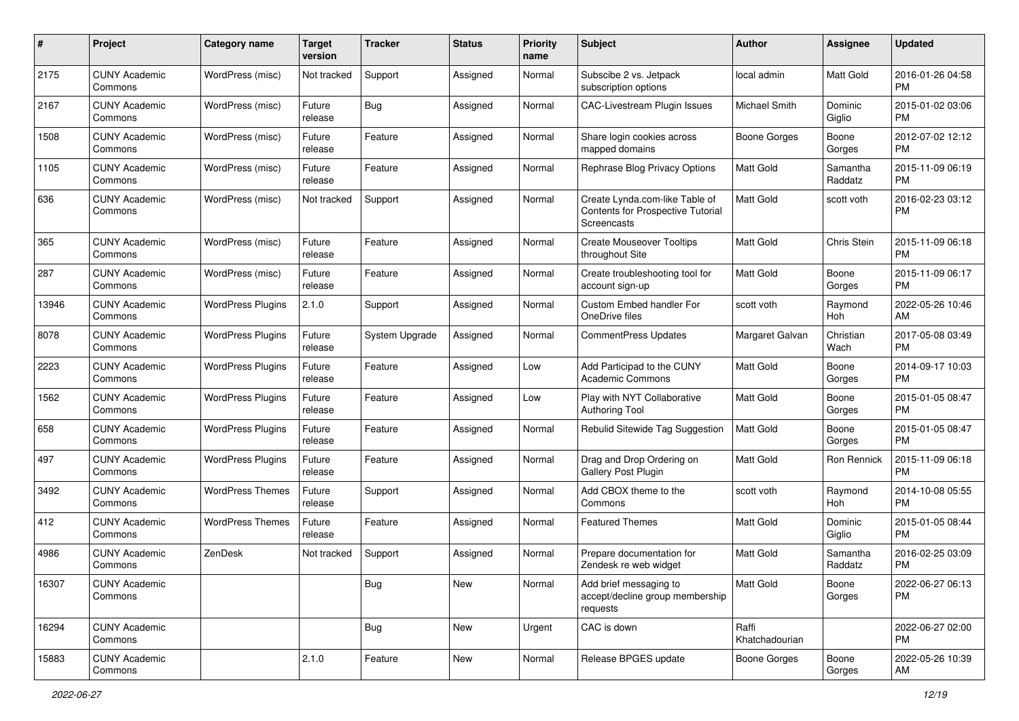| #     | Project                         | <b>Category name</b>     | <b>Target</b><br>version | <b>Tracker</b> | <b>Status</b> | <b>Priority</b><br>name | <b>Subject</b>                                                                            | <b>Author</b>           | <b>Assignee</b>     | <b>Updated</b>                |
|-------|---------------------------------|--------------------------|--------------------------|----------------|---------------|-------------------------|-------------------------------------------------------------------------------------------|-------------------------|---------------------|-------------------------------|
| 2175  | <b>CUNY Academic</b><br>Commons | WordPress (misc)         | Not tracked              | Support        | Assigned      | Normal                  | Subscibe 2 vs. Jetpack<br>subscription options                                            | local admin             | Matt Gold           | 2016-01-26 04:58<br><b>PM</b> |
| 2167  | <b>CUNY Academic</b><br>Commons | WordPress (misc)         | Future<br>release        | <b>Bug</b>     | Assigned      | Normal                  | <b>CAC-Livestream Plugin Issues</b>                                                       | Michael Smith           | Dominic<br>Giglio   | 2015-01-02 03:06<br><b>PM</b> |
| 1508  | <b>CUNY Academic</b><br>Commons | WordPress (misc)         | Future<br>release        | Feature        | Assigned      | Normal                  | Share login cookies across<br>mapped domains                                              | <b>Boone Gorges</b>     | Boone<br>Gorges     | 2012-07-02 12:12<br><b>PM</b> |
| 1105  | <b>CUNY Academic</b><br>Commons | WordPress (misc)         | Future<br>release        | Feature        | Assigned      | Normal                  | Rephrase Blog Privacy Options                                                             | <b>Matt Gold</b>        | Samantha<br>Raddatz | 2015-11-09 06:19<br><b>PM</b> |
| 636   | <b>CUNY Academic</b><br>Commons | WordPress (misc)         | Not tracked              | Support        | Assigned      | Normal                  | Create Lynda.com-like Table of<br><b>Contents for Prospective Tutorial</b><br>Screencasts | <b>Matt Gold</b>        | scott voth          | 2016-02-23 03:12<br><b>PM</b> |
| 365   | <b>CUNY Academic</b><br>Commons | WordPress (misc)         | Future<br>release        | Feature        | Assigned      | Normal                  | <b>Create Mouseover Tooltips</b><br>throughout Site                                       | <b>Matt Gold</b>        | Chris Stein         | 2015-11-09 06:18<br>PM        |
| 287   | <b>CUNY Academic</b><br>Commons | WordPress (misc)         | Future<br>release        | Feature        | Assigned      | Normal                  | Create troubleshooting tool for<br>account sign-up                                        | <b>Matt Gold</b>        | Boone<br>Gorges     | 2015-11-09 06:17<br><b>PM</b> |
| 13946 | <b>CUNY Academic</b><br>Commons | <b>WordPress Plugins</b> | 2.1.0                    | Support        | Assigned      | Normal                  | Custom Embed handler For<br>OneDrive files                                                | scott voth              | Raymond<br>Hoh      | 2022-05-26 10:46<br>AM        |
| 8078  | <b>CUNY Academic</b><br>Commons | <b>WordPress Plugins</b> | Future<br>release        | System Upgrade | Assigned      | Normal                  | CommentPress Updates                                                                      | Margaret Galvan         | Christian<br>Wach   | 2017-05-08 03:49<br><b>PM</b> |
| 2223  | <b>CUNY Academic</b><br>Commons | <b>WordPress Plugins</b> | Future<br>release        | Feature        | Assigned      | Low                     | Add Participad to the CUNY<br>Academic Commons                                            | <b>Matt Gold</b>        | Boone<br>Gorges     | 2014-09-17 10:03<br><b>PM</b> |
| 1562  | <b>CUNY Academic</b><br>Commons | <b>WordPress Plugins</b> | Future<br>release        | Feature        | Assigned      | Low                     | Play with NYT Collaborative<br><b>Authoring Tool</b>                                      | Matt Gold               | Boone<br>Gorges     | 2015-01-05 08:47<br><b>PM</b> |
| 658   | <b>CUNY Academic</b><br>Commons | <b>WordPress Plugins</b> | Future<br>release        | Feature        | Assigned      | Normal                  | Rebulid Sitewide Tag Suggestion                                                           | Matt Gold               | Boone<br>Gorges     | 2015-01-05 08:47<br><b>PM</b> |
| 497   | <b>CUNY Academic</b><br>Commons | <b>WordPress Plugins</b> | Future<br>release        | Feature        | Assigned      | Normal                  | Drag and Drop Ordering on<br>Gallery Post Plugin                                          | <b>Matt Gold</b>        | Ron Rennick         | 2015-11-09 06:18<br><b>PM</b> |
| 3492  | <b>CUNY Academic</b><br>Commons | <b>WordPress Themes</b>  | Future<br>release        | Support        | Assigned      | Normal                  | Add CBOX theme to the<br>Commons                                                          | scott voth              | Raymond<br>Hoh      | 2014-10-08 05:55<br><b>PM</b> |
| 412   | <b>CUNY Academic</b><br>Commons | <b>WordPress Themes</b>  | Future<br>release        | Feature        | Assigned      | Normal                  | <b>Featured Themes</b>                                                                    | <b>Matt Gold</b>        | Dominic<br>Giglio   | 2015-01-05 08:44<br><b>PM</b> |
| 4986  | <b>CUNY Academic</b><br>Commons | ZenDesk                  | Not tracked              | Support        | Assigned      | Normal                  | Prepare documentation for<br>Zendesk re web widget                                        | Matt Gold               | Samantha<br>Raddatz | 2016-02-25 03:09<br><b>PM</b> |
| 16307 | <b>CUNY Academic</b><br>Commons |                          |                          | Bug            | New           | Normal                  | Add brief messaging to<br>accept/decline group membership<br>requests                     | Matt Gold               | Boone<br>Gorges     | 2022-06-27 06:13<br>PM        |
| 16294 | <b>CUNY Academic</b><br>Commons |                          |                          | Bug            | New           | Urgent                  | CAC is down                                                                               | Raffi<br>Khatchadourian |                     | 2022-06-27 02:00<br><b>PM</b> |
| 15883 | <b>CUNY Academic</b><br>Commons |                          | 2.1.0                    | Feature        | New           | Normal                  | Release BPGES update                                                                      | Boone Gorges            | Boone<br>Gorges     | 2022-05-26 10:39<br>AM        |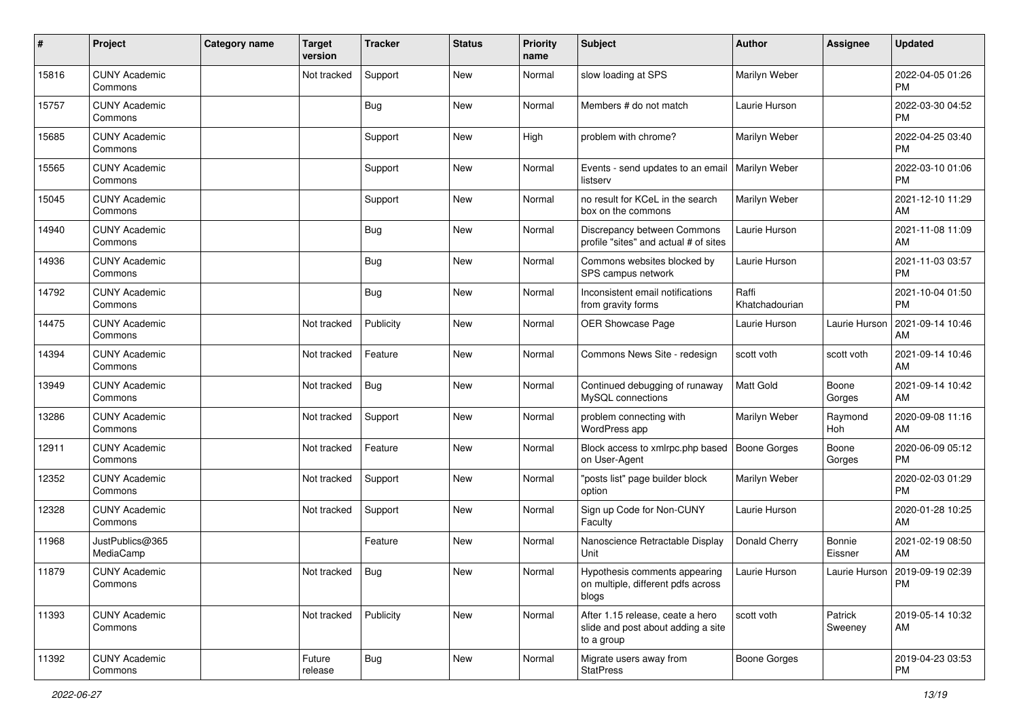| $\pmb{\#}$ | Project                         | Category name | <b>Target</b><br>version | <b>Tracker</b> | <b>Status</b> | <b>Priority</b><br>name | <b>Subject</b>                                                                       | <b>Author</b>           | <b>Assignee</b>    | <b>Updated</b>                         |
|------------|---------------------------------|---------------|--------------------------|----------------|---------------|-------------------------|--------------------------------------------------------------------------------------|-------------------------|--------------------|----------------------------------------|
| 15816      | <b>CUNY Academic</b><br>Commons |               | Not tracked              | Support        | <b>New</b>    | Normal                  | slow loading at SPS                                                                  | Marilyn Weber           |                    | 2022-04-05 01:26<br>PM                 |
| 15757      | <b>CUNY Academic</b><br>Commons |               |                          | <b>Bug</b>     | New           | Normal                  | Members # do not match                                                               | Laurie Hurson           |                    | 2022-03-30 04:52<br>PM                 |
| 15685      | <b>CUNY Academic</b><br>Commons |               |                          | Support        | New           | High                    | problem with chrome?                                                                 | Marilyn Weber           |                    | 2022-04-25 03:40<br>PM                 |
| 15565      | <b>CUNY Academic</b><br>Commons |               |                          | Support        | New           | Normal                  | Events - send updates to an email<br>listserv                                        | Marilyn Weber           |                    | 2022-03-10 01:06<br>PM                 |
| 15045      | <b>CUNY Academic</b><br>Commons |               |                          | Support        | New           | Normal                  | no result for KCeL in the search<br>box on the commons                               | Marilyn Weber           |                    | 2021-12-10 11:29<br>AM                 |
| 14940      | <b>CUNY Academic</b><br>Commons |               |                          | <b>Bug</b>     | New           | Normal                  | Discrepancy between Commons<br>profile "sites" and actual # of sites                 | Laurie Hurson           |                    | 2021-11-08 11:09<br>AM                 |
| 14936      | <b>CUNY Academic</b><br>Commons |               |                          | <b>Bug</b>     | <b>New</b>    | Normal                  | Commons websites blocked by<br>SPS campus network                                    | Laurie Hurson           |                    | 2021-11-03 03:57<br>PM                 |
| 14792      | <b>CUNY Academic</b><br>Commons |               |                          | <b>Bug</b>     | <b>New</b>    | Normal                  | Inconsistent email notifications<br>from gravity forms                               | Raffi<br>Khatchadourian |                    | 2021-10-04 01:50<br>PM                 |
| 14475      | <b>CUNY Academic</b><br>Commons |               | Not tracked              | Publicity      | New           | Normal                  | OER Showcase Page                                                                    | Laurie Hurson           | Laurie Hurson      | 2021-09-14 10:46<br>AM                 |
| 14394      | <b>CUNY Academic</b><br>Commons |               | Not tracked              | Feature        | <b>New</b>    | Normal                  | Commons News Site - redesign                                                         | scott voth              | scott voth         | 2021-09-14 10:46<br>AM                 |
| 13949      | <b>CUNY Academic</b><br>Commons |               | Not tracked              | Bug            | New           | Normal                  | Continued debugging of runaway<br>MySQL connections                                  | <b>Matt Gold</b>        | Boone<br>Gorges    | 2021-09-14 10:42<br>AM                 |
| 13286      | <b>CUNY Academic</b><br>Commons |               | Not tracked              | Support        | New           | Normal                  | problem connecting with<br>WordPress app                                             | Marilyn Weber           | Raymond<br>Hoh     | 2020-09-08 11:16<br>AM                 |
| 12911      | <b>CUNY Academic</b><br>Commons |               | Not tracked              | Feature        | New           | Normal                  | Block access to xmlrpc.php based<br>on User-Agent                                    | Boone Gorges            | Boone<br>Gorges    | 2020-06-09 05:12<br>PM                 |
| 12352      | <b>CUNY Academic</b><br>Commons |               | Not tracked              | Support        | New           | Normal                  | "posts list" page builder block<br>option                                            | Marilyn Weber           |                    | 2020-02-03 01:29<br>PM                 |
| 12328      | <b>CUNY Academic</b><br>Commons |               | Not tracked              | Support        | <b>New</b>    | Normal                  | Sign up Code for Non-CUNY<br>Faculty                                                 | Laurie Hurson           |                    | 2020-01-28 10:25<br>AM                 |
| 11968      | JustPublics@365<br>MediaCamp    |               |                          | Feature        | New           | Normal                  | Nanoscience Retractable Display<br>Unit                                              | Donald Cherry           | Bonnie<br>Eissner  | 2021-02-19 08:50<br>AM                 |
| 11879      | <b>CUNY Academic</b><br>Commons |               | Not tracked              | Bug            | New           | Normal                  | Hypothesis comments appearing<br>on multiple, different pdfs across<br>blogs         | Laurie Hurson           |                    | Laurie Hurson   2019-09-19 02:39<br>PM |
| 11393      | <b>CUNY Academic</b><br>Commons |               | Not tracked              | Publicity      | New           | Normal                  | After 1.15 release, ceate a hero<br>slide and post about adding a site<br>to a group | scott voth              | Patrick<br>Sweeney | 2019-05-14 10:32<br>AM                 |
| 11392      | <b>CUNY Academic</b><br>Commons |               | Future<br>release        | Bug            | New           | Normal                  | Migrate users away from<br><b>StatPress</b>                                          | <b>Boone Gorges</b>     |                    | 2019-04-23 03:53<br><b>PM</b>          |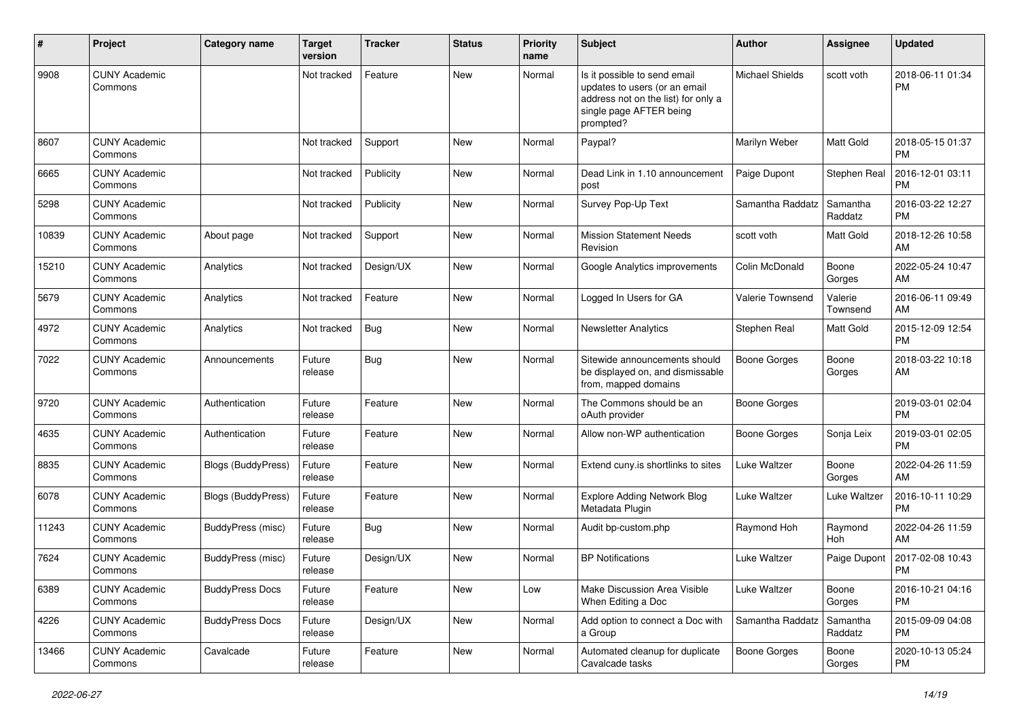| #     | Project                         | <b>Category name</b>   | <b>Target</b><br>version | <b>Tracker</b> | <b>Status</b> | <b>Priority</b><br>name | <b>Subject</b>                                                                                                                               | Author                 | Assignee            | <b>Updated</b>                |
|-------|---------------------------------|------------------------|--------------------------|----------------|---------------|-------------------------|----------------------------------------------------------------------------------------------------------------------------------------------|------------------------|---------------------|-------------------------------|
| 9908  | <b>CUNY Academic</b><br>Commons |                        | Not tracked              | Feature        | New           | Normal                  | Is it possible to send email<br>updates to users (or an email<br>address not on the list) for only a<br>single page AFTER being<br>prompted? | <b>Michael Shields</b> | scott voth          | 2018-06-11 01:34<br>РM        |
| 8607  | <b>CUNY Academic</b><br>Commons |                        | Not tracked              | Support        | New           | Normal                  | Paypal?                                                                                                                                      | Marilyn Weber          | <b>Matt Gold</b>    | 2018-05-15 01:37<br><b>PM</b> |
| 6665  | <b>CUNY Academic</b><br>Commons |                        | Not tracked              | Publicity      | New           | Normal                  | Dead Link in 1.10 announcement<br>post                                                                                                       | Paige Dupont           | Stephen Real        | 2016-12-01 03:11<br><b>PM</b> |
| 5298  | <b>CUNY Academic</b><br>Commons |                        | Not tracked              | Publicity      | <b>New</b>    | Normal                  | Survey Pop-Up Text                                                                                                                           | Samantha Raddatz       | Samantha<br>Raddatz | 2016-03-22 12:27<br>РM        |
| 10839 | <b>CUNY Academic</b><br>Commons | About page             | Not tracked              | Support        | New           | Normal                  | <b>Mission Statement Needs</b><br>Revision                                                                                                   | scott voth             | Matt Gold           | 2018-12-26 10:58<br>AM        |
| 15210 | <b>CUNY Academic</b><br>Commons | Analytics              | Not tracked              | Design/UX      | New           | Normal                  | Google Analytics improvements                                                                                                                | Colin McDonald         | Boone<br>Gorges     | 2022-05-24 10:47<br>AM        |
| 5679  | <b>CUNY Academic</b><br>Commons | Analytics              | Not tracked              | Feature        | <b>New</b>    | Normal                  | Logged In Users for GA                                                                                                                       | Valerie Townsend       | Valerie<br>Townsend | 2016-06-11 09:49<br>AM        |
| 4972  | <b>CUNY Academic</b><br>Commons | Analytics              | Not tracked              | <b>Bug</b>     | New           | Normal                  | <b>Newsletter Analytics</b>                                                                                                                  | Stephen Real           | Matt Gold           | 2015-12-09 12:54<br><b>PM</b> |
| 7022  | <b>CUNY Academic</b><br>Commons | Announcements          | Future<br>release        | <b>Bug</b>     | New           | Normal                  | Sitewide announcements should<br>be displayed on, and dismissable<br>from, mapped domains                                                    | <b>Boone Gorges</b>    | Boone<br>Gorges     | 2018-03-22 10:18<br>AM        |
| 9720  | <b>CUNY Academic</b><br>Commons | Authentication         | Future<br>release        | Feature        | New           | Normal                  | The Commons should be an<br>oAuth provider                                                                                                   | <b>Boone Gorges</b>    |                     | 2019-03-01 02:04<br><b>PM</b> |
| 4635  | <b>CUNY Academic</b><br>Commons | Authentication         | Future<br>release        | Feature        | New           | Normal                  | Allow non-WP authentication                                                                                                                  | Boone Gorges           | Sonja Leix          | 2019-03-01 02:05<br>PМ        |
| 8835  | <b>CUNY Academic</b><br>Commons | Blogs (BuddyPress)     | Future<br>release        | Feature        | New           | Normal                  | Extend cuny.is shortlinks to sites                                                                                                           | Luke Waltzer           | Boone<br>Gorges     | 2022-04-26 11:59<br>AM        |
| 6078  | <b>CUNY Academic</b><br>Commons | Blogs (BuddyPress)     | Future<br>release        | Feature        | New           | Normal                  | <b>Explore Adding Network Blog</b><br>Metadata Plugin                                                                                        | Luke Waltzer           | Luke Waltzer        | 2016-10-11 10:29<br>РM        |
| 11243 | <b>CUNY Academic</b><br>Commons | BuddyPress (misc)      | Future<br>release        | Bug            | New           | Normal                  | Audit bp-custom.php                                                                                                                          | Raymond Hoh            | Raymond<br>Hoh      | 2022-04-26 11:59<br>AM        |
| 7624  | <b>CUNY Academic</b><br>Commons | BuddyPress (misc)      | Future<br>release        | Design/UX      | New           | Normal                  | <b>BP Notifications</b>                                                                                                                      | Luke Waltzer           | Paige Dupont        | 2017-02-08 10:43<br><b>PM</b> |
| 6389  | <b>CUNY Academic</b><br>Commons | <b>BuddyPress Docs</b> | Future<br>release        | Feature        | New           | Low                     | Make Discussion Area Visible<br>When Editing a Doc                                                                                           | Luke Waltzer           | Boone<br>Gorges     | 2016-10-21 04:16<br>PM        |
| 4226  | <b>CUNY Academic</b><br>Commons | <b>BuddyPress Docs</b> | Future<br>release        | Design/UX      | New           | Normal                  | Add option to connect a Doc with<br>a Group                                                                                                  | Samantha Raddatz       | Samantha<br>Raddatz | 2015-09-09 04:08<br><b>PM</b> |
| 13466 | <b>CUNY Academic</b><br>Commons | Cavalcade              | Future<br>release        | Feature        | New           | Normal                  | Automated cleanup for duplicate<br>Cavalcade tasks                                                                                           | <b>Boone Gorges</b>    | Boone<br>Gorges     | 2020-10-13 05:24<br><b>PM</b> |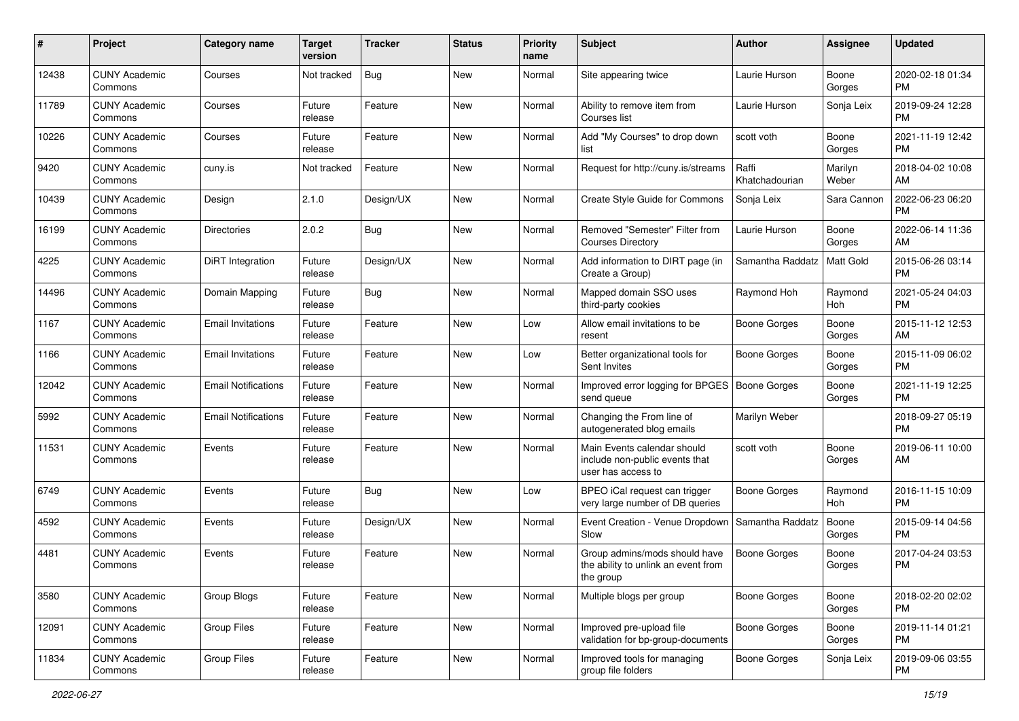| #     | Project                         | <b>Category name</b>       | <b>Target</b><br>version | <b>Tracker</b> | <b>Status</b> | <b>Priority</b><br>name | <b>Subject</b>                                                                      | Author                  | <b>Assignee</b>  | <b>Updated</b>                |
|-------|---------------------------------|----------------------------|--------------------------|----------------|---------------|-------------------------|-------------------------------------------------------------------------------------|-------------------------|------------------|-------------------------------|
| 12438 | <b>CUNY Academic</b><br>Commons | Courses                    | Not tracked              | <b>Bug</b>     | New           | Normal                  | Site appearing twice                                                                | Laurie Hurson           | Boone<br>Gorges  | 2020-02-18 01:34<br><b>PM</b> |
| 11789 | <b>CUNY Academic</b><br>Commons | Courses                    | Future<br>release        | Feature        | New           | Normal                  | Ability to remove item from<br>Courses list                                         | Laurie Hurson           | Sonja Leix       | 2019-09-24 12:28<br><b>PM</b> |
| 10226 | <b>CUNY Academic</b><br>Commons | Courses                    | Future<br>release        | Feature        | New           | Normal                  | Add "My Courses" to drop down<br>list                                               | scott voth              | Boone<br>Gorges  | 2021-11-19 12:42<br><b>PM</b> |
| 9420  | <b>CUNY Academic</b><br>Commons | cuny.is                    | Not tracked              | Feature        | New           | Normal                  | Request for http://cuny.is/streams                                                  | Raffi<br>Khatchadourian | Marilyn<br>Weber | 2018-04-02 10:08<br>AM        |
| 10439 | <b>CUNY Academic</b><br>Commons | Design                     | 2.1.0                    | Design/UX      | New           | Normal                  | Create Style Guide for Commons                                                      | Sonja Leix              | Sara Cannon      | 2022-06-23 06:20<br><b>PM</b> |
| 16199 | <b>CUNY Academic</b><br>Commons | <b>Directories</b>         | 2.0.2                    | <b>Bug</b>     | New           | Normal                  | Removed "Semester" Filter from<br><b>Courses Directory</b>                          | Laurie Hurson           | Boone<br>Gorges  | 2022-06-14 11:36<br>AM        |
| 4225  | <b>CUNY Academic</b><br>Commons | <b>DiRT</b> Integration    | Future<br>release        | Design/UX      | New           | Normal                  | Add information to DIRT page (in<br>Create a Group)                                 | Samantha Raddatz        | Matt Gold        | 2015-06-26 03:14<br><b>PM</b> |
| 14496 | <b>CUNY Academic</b><br>Commons | Domain Mapping             | Future<br>release        | <b>Bug</b>     | New           | Normal                  | Mapped domain SSO uses<br>third-party cookies                                       | Raymond Hoh             | Raymond<br>Hoh   | 2021-05-24 04:03<br><b>PM</b> |
| 1167  | <b>CUNY Academic</b><br>Commons | <b>Email Invitations</b>   | Future<br>release        | Feature        | New           | Low                     | Allow email invitations to be<br>resent                                             | <b>Boone Gorges</b>     | Boone<br>Gorges  | 2015-11-12 12:53<br>AM        |
| 1166  | <b>CUNY Academic</b><br>Commons | <b>Email Invitations</b>   | Future<br>release        | Feature        | New           | Low                     | Better organizational tools for<br>Sent Invites                                     | Boone Gorges            | Boone<br>Gorges  | 2015-11-09 06:02<br><b>PM</b> |
| 12042 | <b>CUNY Academic</b><br>Commons | <b>Email Notifications</b> | Future<br>release        | Feature        | <b>New</b>    | Normal                  | Improved error logging for BPGES<br>send queue                                      | <b>Boone Gorges</b>     | Boone<br>Gorges  | 2021-11-19 12:25<br><b>PM</b> |
| 5992  | <b>CUNY Academic</b><br>Commons | <b>Email Notifications</b> | Future<br>release        | Feature        | New           | Normal                  | Changing the From line of<br>autogenerated blog emails                              | Marilyn Weber           |                  | 2018-09-27 05:19<br><b>PM</b> |
| 11531 | <b>CUNY Academic</b><br>Commons | Events                     | Future<br>release        | Feature        | <b>New</b>    | Normal                  | Main Events calendar should<br>include non-public events that<br>user has access to | scott voth              | Boone<br>Gorges  | 2019-06-11 10:00<br>AM        |
| 6749  | <b>CUNY Academic</b><br>Commons | Events                     | Future<br>release        | <b>Bug</b>     | <b>New</b>    | Low                     | BPEO iCal request can trigger<br>very large number of DB queries                    | <b>Boone Gorges</b>     | Raymond<br>Hoh   | 2016-11-15 10:09<br><b>PM</b> |
| 4592  | <b>CUNY Academic</b><br>Commons | Events                     | Future<br>release        | Design/UX      | <b>New</b>    | Normal                  | Event Creation - Venue Dropdown<br>Slow                                             | Samantha Raddatz        | Boone<br>Gorges  | 2015-09-14 04:56<br><b>PM</b> |
| 4481  | <b>CUNY Academic</b><br>Commons | Events                     | Future<br>release        | Feature        | New           | Normal                  | Group admins/mods should have<br>the ability to unlink an event from<br>the group   | <b>Boone Gorges</b>     | Boone<br>Gorges  | 2017-04-24 03:53<br><b>PM</b> |
| 3580  | <b>CUNY Academic</b><br>Commons | Group Blogs                | Future<br>release        | Feature        | New           | Normal                  | Multiple blogs per group                                                            | <b>Boone Gorges</b>     | Boone<br>Gorges  | 2018-02-20 02:02<br>PM        |
| 12091 | <b>CUNY Academic</b><br>Commons | <b>Group Files</b>         | Future<br>release        | Feature        | New           | Normal                  | Improved pre-upload file<br>validation for bp-group-documents                       | <b>Boone Gorges</b>     | Boone<br>Gorges  | 2019-11-14 01:21<br><b>PM</b> |
| 11834 | <b>CUNY Academic</b><br>Commons | Group Files                | Future<br>release        | Feature        | New           | Normal                  | Improved tools for managing<br>group file folders                                   | Boone Gorges            | Sonja Leix       | 2019-09-06 03:55<br><b>PM</b> |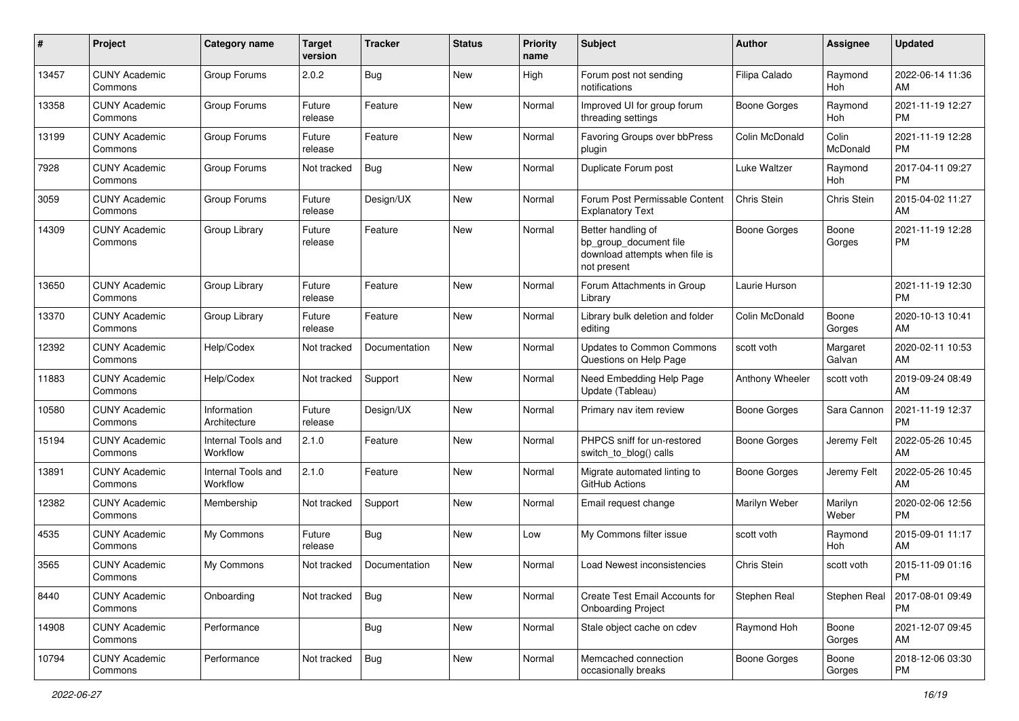| #     | Project                         | <b>Category name</b>           | <b>Target</b><br>version | <b>Tracker</b> | <b>Status</b> | <b>Priority</b><br>name | <b>Subject</b>                                                                                | Author              | <b>Assignee</b>    | <b>Updated</b>                |
|-------|---------------------------------|--------------------------------|--------------------------|----------------|---------------|-------------------------|-----------------------------------------------------------------------------------------------|---------------------|--------------------|-------------------------------|
| 13457 | <b>CUNY Academic</b><br>Commons | Group Forums                   | 2.0.2                    | <b>Bug</b>     | New           | High                    | Forum post not sending<br>notifications                                                       | Filipa Calado       | Raymond<br>Hoh     | 2022-06-14 11:36<br>AM        |
| 13358 | <b>CUNY Academic</b><br>Commons | Group Forums                   | Future<br>release        | Feature        | <b>New</b>    | Normal                  | Improved UI for group forum<br>threading settings                                             | <b>Boone Gorges</b> | Raymond<br>Hoh     | 2021-11-19 12:27<br><b>PM</b> |
| 13199 | <b>CUNY Academic</b><br>Commons | Group Forums                   | Future<br>release        | Feature        | <b>New</b>    | Normal                  | Favoring Groups over bbPress<br>plugin                                                        | Colin McDonald      | Colin<br>McDonald  | 2021-11-19 12:28<br><b>PM</b> |
| 7928  | <b>CUNY Academic</b><br>Commons | Group Forums                   | Not tracked              | Bug            | <b>New</b>    | Normal                  | Duplicate Forum post                                                                          | Luke Waltzer        | Raymond<br>Hoh     | 2017-04-11 09:27<br><b>PM</b> |
| 3059  | <b>CUNY Academic</b><br>Commons | Group Forums                   | Future<br>release        | Design/UX      | New           | Normal                  | Forum Post Permissable Content<br><b>Explanatory Text</b>                                     | Chris Stein         | Chris Stein        | 2015-04-02 11:27<br>AM        |
| 14309 | <b>CUNY Academic</b><br>Commons | Group Library                  | Future<br>release        | Feature        | <b>New</b>    | Normal                  | Better handling of<br>bp_group_document file<br>download attempts when file is<br>not present | <b>Boone Gorges</b> | Boone<br>Gorges    | 2021-11-19 12:28<br><b>PM</b> |
| 13650 | <b>CUNY Academic</b><br>Commons | Group Library                  | Future<br>release        | Feature        | <b>New</b>    | Normal                  | Forum Attachments in Group<br>Library                                                         | Laurie Hurson       |                    | 2021-11-19 12:30<br><b>PM</b> |
| 13370 | <b>CUNY Academic</b><br>Commons | Group Library                  | Future<br>release        | Feature        | <b>New</b>    | Normal                  | Library bulk deletion and folder<br>editing                                                   | Colin McDonald      | Boone<br>Gorges    | 2020-10-13 10:41<br>AM        |
| 12392 | <b>CUNY Academic</b><br>Commons | Help/Codex                     | Not tracked              | Documentation  | <b>New</b>    | Normal                  | <b>Updates to Common Commons</b><br>Questions on Help Page                                    | scott voth          | Margaret<br>Galvan | 2020-02-11 10:53<br>AM        |
| 11883 | <b>CUNY Academic</b><br>Commons | Help/Codex                     | Not tracked              | Support        | <b>New</b>    | Normal                  | Need Embedding Help Page<br>Update (Tableau)                                                  | Anthony Wheeler     | scott voth         | 2019-09-24 08:49<br>AM        |
| 10580 | <b>CUNY Academic</b><br>Commons | Information<br>Architecture    | Future<br>release        | Design/UX      | New           | Normal                  | Primary nav item review                                                                       | Boone Gorges        | Sara Cannon        | 2021-11-19 12:37<br><b>PM</b> |
| 15194 | <b>CUNY Academic</b><br>Commons | Internal Tools and<br>Workflow | 2.1.0                    | Feature        | <b>New</b>    | Normal                  | PHPCS sniff for un-restored<br>switch_to_blog() calls                                         | <b>Boone Gorges</b> | Jeremy Felt        | 2022-05-26 10:45<br>AM        |
| 13891 | <b>CUNY Academic</b><br>Commons | Internal Tools and<br>Workflow | 2.1.0                    | Feature        | <b>New</b>    | Normal                  | Migrate automated linting to<br>GitHub Actions                                                | Boone Gorges        | Jeremy Felt        | 2022-05-26 10:45<br>AM        |
| 12382 | <b>CUNY Academic</b><br>Commons | Membership                     | Not tracked              | Support        | <b>New</b>    | Normal                  | Email request change                                                                          | Marilyn Weber       | Marilyn<br>Weber   | 2020-02-06 12:56<br><b>PM</b> |
| 4535  | <b>CUNY Academic</b><br>Commons | My Commons                     | Future<br>release        | <b>Bug</b>     | <b>New</b>    | Low                     | My Commons filter issue                                                                       | scott voth          | Raymond<br>Hoh     | 2015-09-01 11:17<br>AM        |
| 3565  | <b>CUNY Academic</b><br>Commons | My Commons                     | Not tracked              | Documentation  | New           | Normal                  | Load Newest inconsistencies                                                                   | <b>Chris Stein</b>  | scott voth         | 2015-11-09 01:16<br>PM        |
| 8440  | <b>CUNY Academic</b><br>Commons | Onboarding                     | Not tracked              | Bug            | New           | Normal                  | Create Test Email Accounts for<br><b>Onboarding Project</b>                                   | Stephen Real        | Stephen Real       | 2017-08-01 09:49<br><b>PM</b> |
| 14908 | <b>CUNY Academic</b><br>Commons | Performance                    |                          | <b>Bug</b>     | New           | Normal                  | Stale object cache on cdev                                                                    | Raymond Hoh         | Boone<br>Gorges    | 2021-12-07 09:45<br>AM        |
| 10794 | <b>CUNY Academic</b><br>Commons | Performance                    | Not tracked              | <b>Bug</b>     | New           | Normal                  | Memcached connection<br>occasionally breaks                                                   | Boone Gorges        | Boone<br>Gorges    | 2018-12-06 03:30<br><b>PM</b> |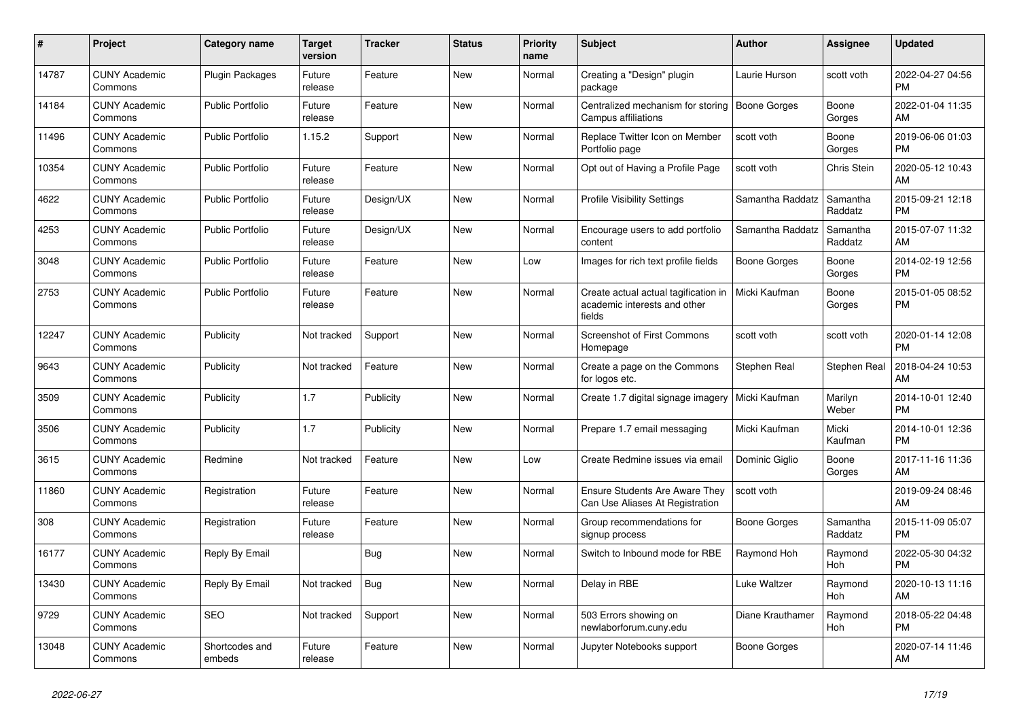| $\pmb{\#}$ | Project                         | Category name            | <b>Target</b><br>version | <b>Tracker</b> | <b>Status</b> | <b>Priority</b><br>name | <b>Subject</b>                                                                 | <b>Author</b>       | <b>Assignee</b>       | <b>Updated</b>                |
|------------|---------------------------------|--------------------------|--------------------------|----------------|---------------|-------------------------|--------------------------------------------------------------------------------|---------------------|-----------------------|-------------------------------|
| 14787      | <b>CUNY Academic</b><br>Commons | <b>Plugin Packages</b>   | Future<br>release        | Feature        | <b>New</b>    | Normal                  | Creating a "Design" plugin<br>package                                          | Laurie Hurson       | scott voth            | 2022-04-27 04:56<br><b>PM</b> |
| 14184      | <b>CUNY Academic</b><br>Commons | <b>Public Portfolio</b>  | Future<br>release        | Feature        | <b>New</b>    | Normal                  | Centralized mechanism for storing<br>Campus affiliations                       | Boone Gorges        | Boone<br>Gorges       | 2022-01-04 11:35<br>AM        |
| 11496      | <b>CUNY Academic</b><br>Commons | <b>Public Portfolio</b>  | 1.15.2                   | Support        | <b>New</b>    | Normal                  | Replace Twitter Icon on Member<br>Portfolio page                               | scott voth          | Boone<br>Gorges       | 2019-06-06 01:03<br><b>PM</b> |
| 10354      | <b>CUNY Academic</b><br>Commons | <b>Public Portfolio</b>  | Future<br>release        | Feature        | <b>New</b>    | Normal                  | Opt out of Having a Profile Page                                               | scott voth          | Chris Stein           | 2020-05-12 10:43<br>AM        |
| 4622       | <b>CUNY Academic</b><br>Commons | <b>Public Portfolio</b>  | Future<br>release        | Design/UX      | <b>New</b>    | Normal                  | <b>Profile Visibility Settings</b>                                             | Samantha Raddatz    | Samantha<br>Raddatz   | 2015-09-21 12:18<br><b>PM</b> |
| 4253       | <b>CUNY Academic</b><br>Commons | <b>Public Portfolio</b>  | Future<br>release        | Design/UX      | <b>New</b>    | Normal                  | Encourage users to add portfolio<br>content                                    | Samantha Raddatz    | Samantha<br>Raddatz   | 2015-07-07 11:32<br>AM        |
| 3048       | <b>CUNY Academic</b><br>Commons | <b>Public Portfolio</b>  | Future<br>release        | Feature        | <b>New</b>    | Low                     | Images for rich text profile fields                                            | <b>Boone Gorges</b> | Boone<br>Gorges       | 2014-02-19 12:56<br><b>PM</b> |
| 2753       | <b>CUNY Academic</b><br>Commons | Public Portfolio         | Future<br>release        | Feature        | <b>New</b>    | Normal                  | Create actual actual tagification in<br>academic interests and other<br>fields | Micki Kaufman       | Boone<br>Gorges       | 2015-01-05 08:52<br><b>PM</b> |
| 12247      | <b>CUNY Academic</b><br>Commons | Publicity                | Not tracked              | Support        | <b>New</b>    | Normal                  | <b>Screenshot of First Commons</b><br>Homepage                                 | scott voth          | scott voth            | 2020-01-14 12:08<br><b>PM</b> |
| 9643       | <b>CUNY Academic</b><br>Commons | Publicity                | Not tracked              | Feature        | <b>New</b>    | Normal                  | Create a page on the Commons<br>for logos etc.                                 | Stephen Real        | Stephen Real          | 2018-04-24 10:53<br>AM        |
| 3509       | <b>CUNY Academic</b><br>Commons | Publicity                | 1.7                      | Publicity      | <b>New</b>    | Normal                  | Create 1.7 digital signage imagery                                             | Micki Kaufman       | Marilyn<br>Weber      | 2014-10-01 12:40<br><b>PM</b> |
| 3506       | <b>CUNY Academic</b><br>Commons | Publicity                | 1.7                      | Publicity      | <b>New</b>    | Normal                  | Prepare 1.7 email messaging                                                    | Micki Kaufman       | Micki<br>Kaufman      | 2014-10-01 12:36<br><b>PM</b> |
| 3615       | <b>CUNY Academic</b><br>Commons | Redmine                  | Not tracked              | Feature        | <b>New</b>    | Low                     | Create Redmine issues via email                                                | Dominic Giglio      | Boone<br>Gorges       | 2017-11-16 11:36<br>AM        |
| 11860      | <b>CUNY Academic</b><br>Commons | Registration             | Future<br>release        | Feature        | <b>New</b>    | Normal                  | <b>Ensure Students Are Aware They</b><br>Can Use Aliases At Registration       | scott voth          |                       | 2019-09-24 08:46<br>AM        |
| 308        | <b>CUNY Academic</b><br>Commons | Registration             | Future<br>release        | Feature        | <b>New</b>    | Normal                  | Group recommendations for<br>signup process                                    | Boone Gorges        | Samantha<br>Raddatz   | 2015-11-09 05:07<br><b>PM</b> |
| 16177      | <b>CUNY Academic</b><br>Commons | Reply By Email           |                          | <b>Bug</b>     | <b>New</b>    | Normal                  | Switch to Inbound mode for RBE                                                 | Raymond Hoh         | Raymond<br><b>Hoh</b> | 2022-05-30 04:32<br><b>PM</b> |
| 13430      | <b>CUNY Academic</b><br>Commons | Reply By Email           | Not tracked              | Bug            | <b>New</b>    | Normal                  | Delay in RBE                                                                   | Luke Waltzer        | Raymond<br>Hoh        | 2020-10-13 11:16<br>AM        |
| 9729       | <b>CUNY Academic</b><br>Commons | <b>SEO</b>               | Not tracked              | Support        | <b>New</b>    | Normal                  | 503 Errors showing on<br>newlaborforum.cuny.edu                                | Diane Krauthamer    | Raymond<br><b>Hoh</b> | 2018-05-22 04:48<br><b>PM</b> |
| 13048      | <b>CUNY Academic</b><br>Commons | Shortcodes and<br>embeds | Future<br>release        | Feature        | <b>New</b>    | Normal                  | Jupyter Notebooks support                                                      | Boone Gorges        |                       | 2020-07-14 11:46<br>AM        |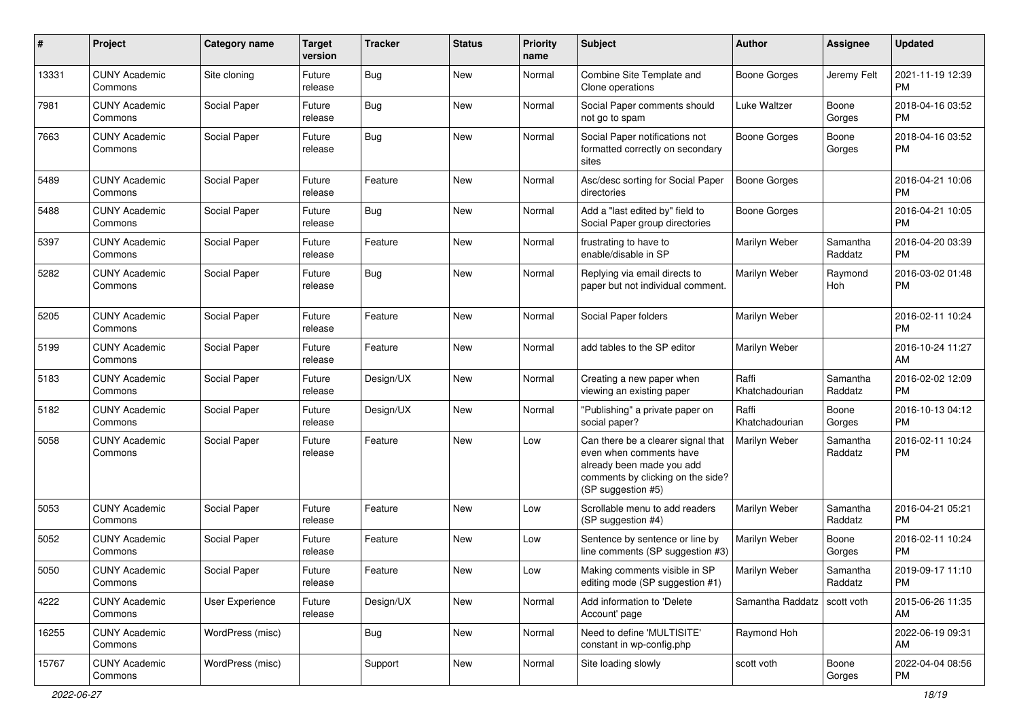| #     | Project                         | <b>Category name</b> | <b>Target</b><br>version | <b>Tracker</b> | <b>Status</b> | <b>Priority</b><br>name | <b>Subject</b>                                                                                                                                        | <b>Author</b>           | <b>Assignee</b>     | <b>Updated</b>                |
|-------|---------------------------------|----------------------|--------------------------|----------------|---------------|-------------------------|-------------------------------------------------------------------------------------------------------------------------------------------------------|-------------------------|---------------------|-------------------------------|
| 13331 | <b>CUNY Academic</b><br>Commons | Site cloning         | Future<br>release        | <b>Bug</b>     | <b>New</b>    | Normal                  | Combine Site Template and<br>Clone operations                                                                                                         | <b>Boone Gorges</b>     | Jeremy Felt         | 2021-11-19 12:39<br><b>PM</b> |
| 7981  | <b>CUNY Academic</b><br>Commons | Social Paper         | Future<br>release        | <b>Bug</b>     | New           | Normal                  | Social Paper comments should<br>not go to spam                                                                                                        | Luke Waltzer            | Boone<br>Gorges     | 2018-04-16 03:52<br><b>PM</b> |
| 7663  | <b>CUNY Academic</b><br>Commons | Social Paper         | Future<br>release        | Bug            | New           | Normal                  | Social Paper notifications not<br>formatted correctly on secondary<br>sites                                                                           | Boone Gorges            | Boone<br>Gorges     | 2018-04-16 03:52<br><b>PM</b> |
| 5489  | <b>CUNY Academic</b><br>Commons | Social Paper         | Future<br>release        | Feature        | New           | Normal                  | Asc/desc sorting for Social Paper<br>directories                                                                                                      | <b>Boone Gorges</b>     |                     | 2016-04-21 10:06<br><b>PM</b> |
| 5488  | <b>CUNY Academic</b><br>Commons | Social Paper         | Future<br>release        | Bug            | New           | Normal                  | Add a "last edited by" field to<br>Social Paper group directories                                                                                     | <b>Boone Gorges</b>     |                     | 2016-04-21 10:05<br>PM        |
| 5397  | <b>CUNY Academic</b><br>Commons | Social Paper         | Future<br>release        | Feature        | <b>New</b>    | Normal                  | frustrating to have to<br>enable/disable in SP                                                                                                        | Marilyn Weber           | Samantha<br>Raddatz | 2016-04-20 03:39<br>PM        |
| 5282  | <b>CUNY Academic</b><br>Commons | Social Paper         | Future<br>release        | <b>Bug</b>     | New           | Normal                  | Replying via email directs to<br>paper but not individual comment.                                                                                    | Marilyn Weber           | Raymond<br>Hoh      | 2016-03-02 01:48<br><b>PM</b> |
| 5205  | <b>CUNY Academic</b><br>Commons | Social Paper         | Future<br>release        | Feature        | New           | Normal                  | Social Paper folders                                                                                                                                  | Marilyn Weber           |                     | 2016-02-11 10:24<br><b>PM</b> |
| 5199  | <b>CUNY Academic</b><br>Commons | Social Paper         | Future<br>release        | Feature        | <b>New</b>    | Normal                  | add tables to the SP editor                                                                                                                           | Marilyn Weber           |                     | 2016-10-24 11:27<br>AM        |
| 5183  | <b>CUNY Academic</b><br>Commons | Social Paper         | Future<br>release        | Design/UX      | <b>New</b>    | Normal                  | Creating a new paper when<br>viewing an existing paper                                                                                                | Raffi<br>Khatchadourian | Samantha<br>Raddatz | 2016-02-02 12:09<br><b>PM</b> |
| 5182  | <b>CUNY Academic</b><br>Commons | Social Paper         | Future<br>release        | Design/UX      | <b>New</b>    | Normal                  | "Publishing" a private paper on<br>social paper?                                                                                                      | Raffi<br>Khatchadourian | Boone<br>Gorges     | 2016-10-13 04:12<br><b>PM</b> |
| 5058  | <b>CUNY Academic</b><br>Commons | Social Paper         | Future<br>release        | Feature        | New           | Low                     | Can there be a clearer signal that<br>even when comments have<br>already been made you add<br>comments by clicking on the side?<br>(SP suggestion #5) | Marilyn Weber           | Samantha<br>Raddatz | 2016-02-11 10:24<br><b>PM</b> |
| 5053  | <b>CUNY Academic</b><br>Commons | Social Paper         | Future<br>release        | Feature        | <b>New</b>    | Low                     | Scrollable menu to add readers<br>(SP suggestion #4)                                                                                                  | Marilyn Weber           | Samantha<br>Raddatz | 2016-04-21 05:21<br><b>PM</b> |
| 5052  | <b>CUNY Academic</b><br>Commons | Social Paper         | Future<br>release        | Feature        | <b>New</b>    | Low                     | Sentence by sentence or line by<br>line comments (SP suggestion #3)                                                                                   | Marilyn Weber           | Boone<br>Gorges     | 2016-02-11 10:24<br><b>PM</b> |
| 5050  | <b>CUNY Academic</b><br>Commons | Social Paper         | Future<br>release        | Feature        | New           | Low                     | Making comments visible in SP<br>editing mode (SP suggestion #1)                                                                                      | Marilyn Weber           | Samantha<br>Raddatz | 2019-09-17 11:10<br>PM        |
| 4222  | <b>CUNY Academic</b><br>Commons | User Experience      | Future<br>release        | Design/UX      | New           | Normal                  | Add information to 'Delete<br>Account' page                                                                                                           | Samantha Raddatz        | scott voth          | 2015-06-26 11:35<br>AM        |
| 16255 | <b>CUNY Academic</b><br>Commons | WordPress (misc)     |                          | <b>Bug</b>     | New           | Normal                  | Need to define 'MULTISITE'<br>constant in wp-config.php                                                                                               | Raymond Hoh             |                     | 2022-06-19 09:31<br>AM        |
| 15767 | <b>CUNY Academic</b><br>Commons | WordPress (misc)     |                          | Support        | New           | Normal                  | Site loading slowly                                                                                                                                   | scott voth              | Boone<br>Gorges     | 2022-04-04 08:56<br>PM        |